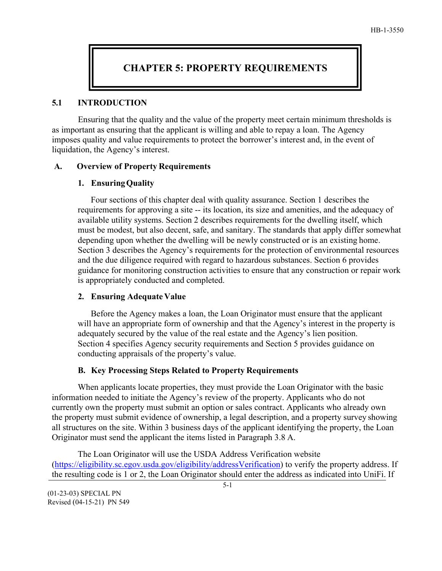# **CHAPTER 5: PROPERTY REQUIREMENTS**

#### **5.1 INTRODUCTION**

Ensuring that the quality and the value of the property meet certain minimum thresholds is as important as ensuring that the applicant is willing and able to repay a loan. The Agency imposes quality and value requirements to protect the borrower's interest and, in the event of liquidation, the Agency's interest.

#### **A. Overview of Property Requirements**

#### **1. EnsuringQuality**

Four sections of this chapter deal with quality assurance. Section 1 describes the requirements for approving a site -- its location, its size and amenities, and the adequacy of available utility systems. Section 2 describes requirements for the dwelling itself, which must be modest, but also decent, safe, and sanitary. The standards that apply differ somewhat depending upon whether the dwelling will be newly constructed or is an existing home. Section 3 describes the Agency's requirements for the protection of environmental resources and the due diligence required with regard to hazardous substances. Section 6 provides guidance for monitoring construction activities to ensure that any construction or repair work is appropriately conducted and completed.

### **2. Ensuring Adequate Value**

Before the Agency makes a loan, the Loan Originator must ensure that the applicant will have an appropriate form of ownership and that the Agency's interest in the property is adequately secured by the value of the real estate and the Agency's lien position. Section 4 specifies Agency security requirements and Section 5 provides guidance on conducting appraisals of the property's value.

### **B. Key Processing Steps Related to Property Requirements**

When applicants locate properties, they must provide the Loan Originator with the basic information needed to initiate the Agency's review of the property. Applicants who do not currently own the property must submit an option or sales contract. Applicants who already own the property must submit evidence of ownership, a legal description, and a property survey showing all structures on the site. Within 3 business days of the applicant identifying the property, the Loan Originator must send the applicant the items listed in Paragraph 3.8 A.

The Loan Originator will use the USDA Address Verification website [\(https://eligibility.sc.egov.usda.gov/eligibility/addressVerification\)](https://eligibility.sc.egov.usda.gov/eligibility/addressVerification) to verify the property address. If the resulting code is 1 or 2, the Loan Originator should enter the address as indicated into UniFi. If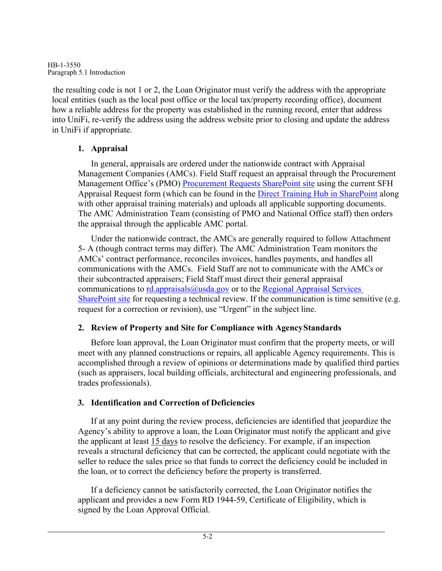HB-1-3550 Paragraph 5.1 Introduction

the resulting code is not 1 or 2, the Loan Originator must verify the address with the appropriate local entities (such as the local post office or the local tax/property recording office), document how a reliable address for the property was established in the running record, enter that address into UniFi, re-verify the address using the address website prior to closing and update the address in UniFi if appropriate.

# **1. Appraisal**

In general, appraisals are ordered under the nationwide contract with Appraisal Management Companies (AMCs). Field Staff request an appraisal through the Procurement Management Office's (PMO) [Procurement Requests SharePoint site](https://usdagcc.sharepoint.com/sites/rd_om/PMO/SitePages/Requests.aspx) using the current SFH Appraisal Request form (which can be found in the [Direct Training Hub in SharePoint a](https://usdagcc.sharepoint.com/sites/rd_hcfp/SFH1/trainhub/National%20Office%20Training/Forms/AllItems.aspx?viewid=00000000%2D0000%2D0000%2D0000%2D000000000000&id=%2Fsites%2Frd%5Fhcfp%2FSFH1%2Ftrainhub%2FNational%20Office%20Training%2FPLCE%20%7E%20Appraisal%20Training)long with other appraisal training materials) and uploads all applicable supporting documents. The AMC Administration Team (consisting of PMO and National Office staff) then orders the appraisal through the applicable AMC portal.

Under the nationwide contract, the AMCs are generally required to follow Attachment 5- A (though contract terms may differ). The AMC Administration Team monitors the AMCs' contract performance, reconciles invoices, handles payments, and handles all communications with the AMCs. Field Staff are not to communicate with the AMCs or their subcontracted appraisers; Field Staff must direct their general appraisal communications to  $rd appraisals@usda.gov$  or to the Regional Appraisal Services</u> [SharePoint site](https://usdagcc.sharepoint.com/sites/rd_rhub/pss/assign/SitePages/Home.aspx) for requesting a technical review. If the communication is time sensitive (e.g. request for a correction or revision), use "Urgent" in the subject line.

# **2. Review of Property and Site for Compliance with AgencyStandards**

Before loan approval, the Loan Originator must confirm that the property meets, or will meet with any planned constructions or repairs, all applicable Agency requirements. This is accomplished through a review of opinions or determinations made by qualified third parties (such as appraisers, local building officials, architectural and engineering professionals, and trades professionals).

# **3. Identification and Correction of Deficiencies**

If at any point during the review process, deficiencies are identified that jeopardize the Agency's ability to approve a loan, the Loan Originator must notify the applicant and give the applicant at least 15 days to resolve the deficiency. For example, if an inspection reveals a structural deficiency that can be corrected, the applicant could negotiate with the seller to reduce the sales price so that funds to correct the deficiency could be included in the loan, or to correct the deficiency before the property is transferred.

If a deficiency cannot be satisfactorily corrected, the Loan Originator notifies the applicant and provides a new Form RD 1944-59, Certificate of Eligibility, which is signed by the Loan Approval Official.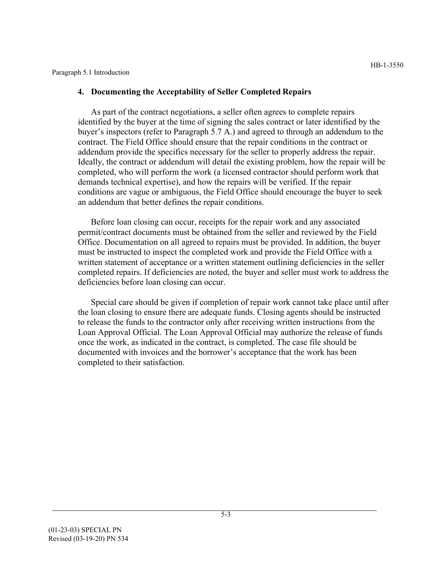#### Paragraph 5.1 Introduction

#### **4. Documenting the Acceptability of Seller Completed Repairs**

As part of the contract negotiations, a seller often agrees to complete repairs identified by the buyer at the time of signing the sales contract or later identified by the buyer's inspectors (refer to Paragraph 5.7 A.) and agreed to through an addendum to the contract. The Field Office should ensure that the repair conditions in the contract or addendum provide the specifics necessary for the seller to properly address the repair. Ideally, the contract or addendum will detail the existing problem, how the repair will be completed, who will perform the work (a licensed contractor should perform work that demands technical expertise), and how the repairs will be verified. If the repair conditions are vague or ambiguous, the Field Office should encourage the buyer to seek an addendum that better defines the repair conditions.

Before loan closing can occur, receipts for the repair work and any associated permit/contract documents must be obtained from the seller and reviewed by the Field Office. Documentation on all agreed to repairs must be provided. In addition, the buyer must be instructed to inspect the completed work and provide the Field Office with a written statement of acceptance or a written statement outlining deficiencies in the seller completed repairs. If deficiencies are noted, the buyer and seller must work to address the deficiencies before loan closing can occur.

Special care should be given if completion of repair work cannot take place until after the loan closing to ensure there are adequate funds. Closing agents should be instructed to release the funds to the contractor only after receiving written instructions from the Loan Approval Official. The Loan Approval Official may authorize the release of funds once the work, as indicated in the contract, is completed. The case file should be documented with invoices and the borrower's acceptance that the work has been completed to their satisfaction.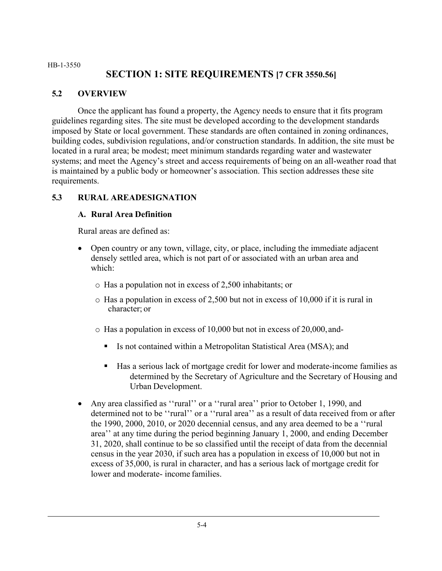#### HB-1-3550 **SECTION 1: SITE REQUIREMENTS [7 CFR 3550.56]**

# **5.2 OVERVIEW**

Once the applicant has found a property, the Agency needs to ensure that it fits program guidelines regarding sites. The site must be developed according to the development standards imposed by State or local government. These standards are often contained in zoning ordinances, building codes, subdivision regulations, and/or construction standards. In addition, the site must be located in a rural area; be modest; meet minimum standards regarding water and wastewater systems; and meet the Agency's street and access requirements of being on an all-weather road that is maintained by a public body or homeowner's association. This section addresses these site requirements.

# **5.3 RURAL AREADESIGNATION**

## **A. Rural Area Definition**

Rural areas are defined as:

- Open country or any town, village, city, or place, including the immediate adjacent densely settled area, which is not part of or associated with an urban area and which:
	- o Has a population not in excess of 2,500 inhabitants; or
	- o Has a population in excess of 2,500 but not in excess of 10,000 if it is rural in character; or
	- o Has a population in excess of 10,000 but not in excess of 20,000, and-
		- Is not contained within a Metropolitan Statistical Area (MSA); and
		- Has a serious lack of mortgage credit for lower and moderate-income families as determined by the Secretary of Agriculture and the Secretary of Housing and Urban Development.
- Any area classified as ''rural'' or a ''rural area'' prior to October 1, 1990, and determined not to be ''rural'' or a ''rural area'' as a result of data received from or after the 1990, 2000, 2010, or 2020 decennial census, and any area deemed to be a ''rural area'' at any time during the period beginning January 1, 2000, and ending December 31, 2020, shall continue to be so classified until the receipt of data from the decennial census in the year 2030, if such area has a population in excess of 10,000 but not in excess of 35,000, is rural in character, and has a serious lack of mortgage credit for lower and moderate- income families.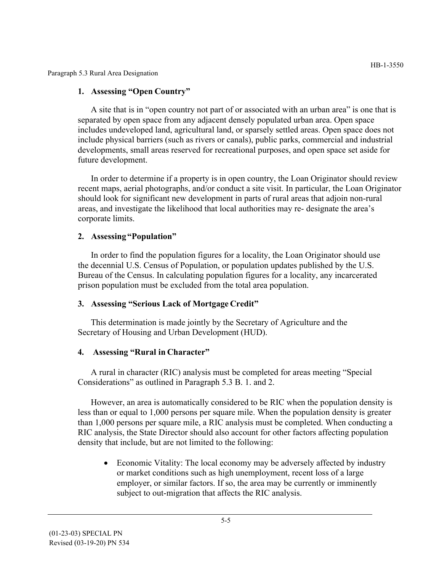Paragraph 5.3 Rural Area Designation

#### **1. Assessing "Open Country"**

A site that is in "open country not part of or associated with an urban area" is one that is separated by open space from any adjacent densely populated urban area. Open space includes undeveloped land, agricultural land, or sparsely settled areas. Open space does not include physical barriers (such as rivers or canals), public parks, commercial and industrial developments, small areas reserved for recreational purposes, and open space set aside for future development.

In order to determine if a property is in open country, the Loan Originator should review recent maps, aerial photographs, and/or conduct a site visit. In particular, the Loan Originator should look for significant new development in parts of rural areas that adjoin non-rural areas, and investigate the likelihood that local authorities may re- designate the area's corporate limits.

### **2. Assessing "Population"**

In order to find the population figures for a locality, the Loan Originator should use the decennial U.S. Census of Population, or population updates published by the U.S. Bureau of the Census. In calculating population figures for a locality, any incarcerated prison population must be excluded from the total area population.

### **3. Assessing "Serious Lack of Mortgage Credit"**

This determination is made jointly by the Secretary of Agriculture and the Secretary of Housing and Urban Development (HUD).

### **4. Assessing "Rural in Character"**

A rural in character (RIC) analysis must be completed for areas meeting "Special Considerations" as outlined in Paragraph 5.3 B. 1. and 2.

However, an area is automatically considered to be RIC when the population density is less than or equal to 1,000 persons per square mile. When the population density is greater than 1,000 persons per square mile, a RIC analysis must be completed. When conducting a RIC analysis, the State Director should also account for other factors affecting population density that include, but are not limited to the following:

• Economic Vitality: The local economy may be adversely affected by industry or market conditions such as high unemployment, recent loss of a large employer, or similar factors. If so, the area may be currently or imminently subject to out-migration that affects the RIC analysis.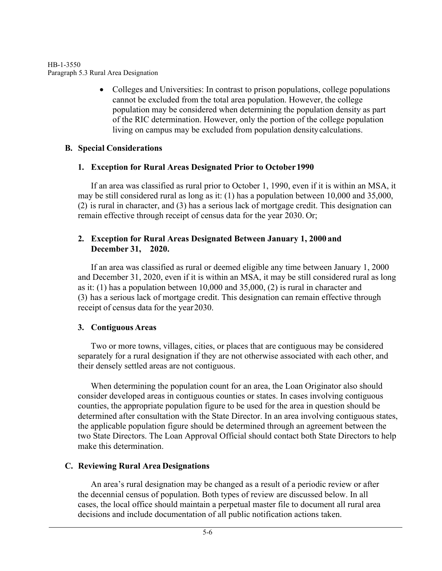HB-1-3550 Paragraph 5.3 Rural Area Designation

> • Colleges and Universities: In contrast to prison populations, college populations cannot be excluded from the total area population. However, the college population may be considered when determining the population density as part of the RIC determination. However, only the portion of the college population living on campus may be excluded from population density calculations.

# **B. Special Considerations**

# **1. Exception for Rural Areas Designated Prior to October 1990**

If an area was classified as rural prior to October 1, 1990, even if it is within an MSA, it may be still considered rural as long as it: (1) has a population between 10,000 and 35,000, (2) is rural in character, and (3) has a serious lack of mortgage credit. This designation can remain effective through receipt of census data for the year 2030. Or;

## **2. Exception for Rural Areas Designated Between January 1, 2000 and December 31, 2020.**

If an area was classified as rural or deemed eligible any time between January 1, 2000 and December 31, 2020, even if it is within an MSA, it may be still considered rural as long as it: (1) has a population between 10,000 and 35,000, (2) is rural in character and (3) has a serious lack of mortgage credit. This designation can remain effective through receipt of census data for the year 2030.

# **3. Contiguous Areas**

Two or more towns, villages, cities, or places that are contiguous may be considered separately for a rural designation if they are not otherwise associated with each other, and their densely settled areas are not contiguous.

When determining the population count for an area, the Loan Originator also should consider developed areas in contiguous counties or states. In cases involving contiguous counties, the appropriate population figure to be used for the area in question should be determined after consultation with the State Director. In an area involving contiguous states, the applicable population figure should be determined through an agreement between the two State Directors. The Loan Approval Official should contact both State Directors to help make this determination.

# **C. Reviewing Rural Area Designations**

An area's rural designation may be changed as a result of a periodic review or after the decennial census of population. Both types of review are discussed below. In all cases, the local office should maintain a perpetual master file to document all rural area decisions and include documentation of all public notification actions taken.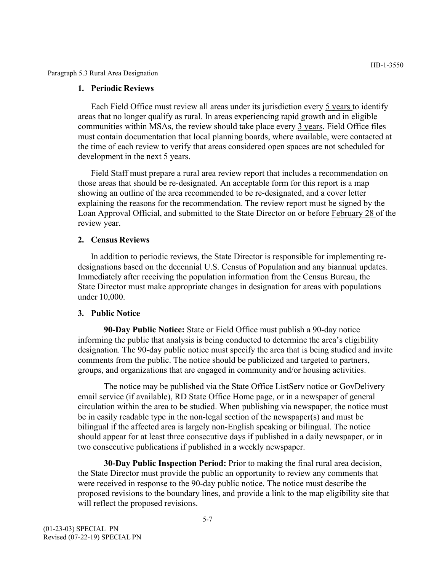Paragraph 5.3 Rural Area Designation

### **1. Periodic Reviews**

Each Field Office must review all areas under its jurisdiction every 5 years to identify areas that no longer qualify as rural. In areas experiencing rapid growth and in eligible communities within MSAs, the review should take place every 3 years. Field Office files must contain documentation that local planning boards, where available, were contacted at the time of each review to verify that areas considered open spaces are not scheduled for development in the next 5 years.

Field Staff must prepare a rural area review report that includes a recommendation on those areas that should be re-designated. An acceptable form for this report is a map showing an outline of the area recommended to be re-designated, and a cover letter explaining the reasons for the recommendation. The review report must be signed by the Loan Approval Official, and submitted to the State Director on or before February 28 of the review year.

# **2. Census Reviews**

In addition to periodic reviews, the State Director is responsible for implementing redesignations based on the decennial U.S. Census of Population and any biannual updates. Immediately after receiving the population information from the Census Bureau, the State Director must make appropriate changes in designation for areas with populations under 10,000.

# **3. Public Notice**

**90-Day Public Notice:** State or Field Office must publish a 90-day notice informing the public that analysis is being conducted to determine the area's eligibility designation. The 90-day public notice must specify the area that is being studied and invite comments from the public. The notice should be publicized and targeted to partners, groups, and organizations that are engaged in community and/or housing activities.

The notice may be published via the State Office ListServ notice or GovDelivery email service (if available), RD State Office Home page, or in a newspaper of general circulation within the area to be studied. When publishing via newspaper, the notice must be in easily readable type in the non-legal section of the newspaper(s) and must be bilingual if the affected area is largely non-English speaking or bilingual. The notice should appear for at least three consecutive days if published in a daily newspaper, or in two consecutive publications if published in a weekly newspaper.

**30-Day Public Inspection Period:** Prior to making the final rural area decision, the State Director must provide the public an opportunity to review any comments that were received in response to the 90-day public notice. The notice must describe the proposed revisions to the boundary lines, and provide a link to the map eligibility site that will reflect the proposed revisions.

HB-1-3550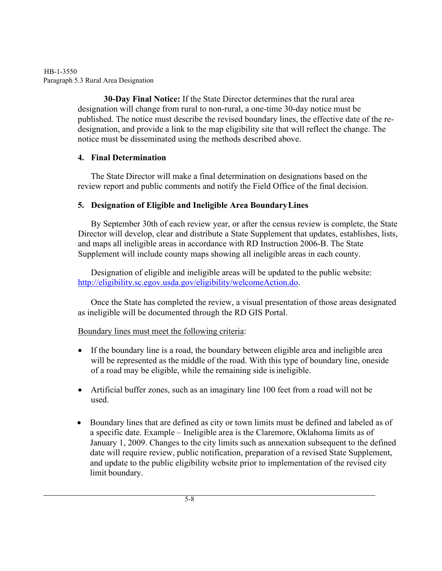#### HB-1-3550 Paragraph 5.3 Rural Area Designation

**30-Day Final Notice:** If the State Director determines that the rural area designation will change from rural to non-rural, a one-time 30-day notice must be published. The notice must describe the revised boundary lines, the effective date of the redesignation, and provide a link to the map eligibility site that will reflect the change. The notice must be disseminated using the methods described above.

# **4. Final Determination**

The State Director will make a final determination on designations based on the review report and public comments and notify the Field Office of the final decision.

# **5. Designation of Eligible and Ineligible Area BoundaryLines**

By September 30th of each review year, or after the census review is complete, the State Director will develop, clear and distribute a State Supplement that updates, establishes, lists, and maps all ineligible areas in accordance with RD Instruction 2006-B. The State Supplement will include county maps showing all ineligible areas in each county.

Designation of eligible and ineligible areas will be updated to the public website: [http://eligibility.sc.egov.usda.gov/eligibility/welcomeAction.do.](http://eligibility.sc.egov.usda.gov/eligibility/welcomeAction.do)

Once the State has completed the review, a visual presentation of those areas designated as ineligible will be documented through the RD GIS Portal.

# Boundary lines must meet the following criteria:

- If the boundary line is a road, the boundary between eligible area and ineligible area will be represented as the middle of the road. With this type of boundary line, one side of a road may be eligible, while the remaining side isineligible.
- Artificial buffer zones, such as an imaginary line 100 feet from a road will not be used.
- Boundary lines that are defined as city or town limits must be defined and labeled as of a specific date. Example – Ineligible area is the Claremore, Oklahoma limits as of January 1, 2009. Changes to the city limits such as annexation subsequent to the defined date will require review, public notification, preparation of a revised State Supplement, and update to the public eligibility website prior to implementation of the revised city limit boundary.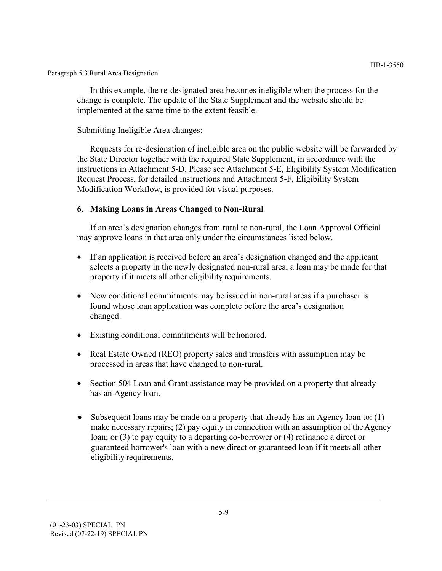Paragraph 5.3 Rural Area Designation

In this example, the re-designated area becomes ineligible when the process for the change is complete. The update of the State Supplement and the website should be implemented at the same time to the extent feasible.

#### Submitting Ineligible Area changes:

Requests for re-designation of ineligible area on the public website will be forwarded by the State Director together with the required State Supplement, in accordance with the instructions in Attachment 5-D. Please see Attachment 5-E, Eligibility System Modification Request Process, for detailed instructions and Attachment 5-F, Eligibility System Modification Workflow, is provided for visual purposes.

#### **6. Making Loans in Areas Changed to Non-Rural**

If an area's designation changes from rural to non-rural, the Loan Approval Official may approve loans in that area only under the circumstances listed below.

- If an application is received before an area's designation changed and the applicant selects a property in the newly designated non-rural area, a loan may be made for that property if it meets all other eligibility requirements.
- New conditional commitments may be issued in non-rural areas if a purchaser is found whose loan application was complete before the area's designation changed.
- Existing conditional commitments will be honored.
- Real Estate Owned (REO) property sales and transfers with assumption may be processed in areas that have changed to non-rural.
- Section 504 Loan and Grant assistance may be provided on a property that already has an Agency loan.
- Subsequent loans may be made on a property that already has an Agency loan to: (1) make necessary repairs; (2) pay equity in connection with an assumption of the Agency loan; or (3) to pay equity to a departing co-borrower or (4) refinance a direct or guaranteed borrower's loan with a new direct or guaranteed loan if it meets all other eligibility requirements.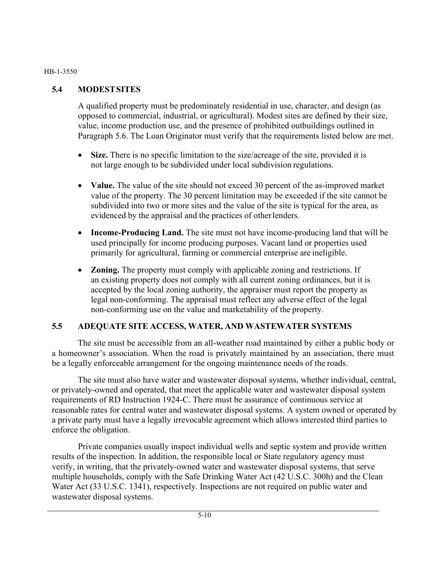#### HB-1-3550

## **5.4 MODESTSITES**

A qualified property must be predominately residential in use, character, and design (as opposed to commercial, industrial, or agricultural). Modest sites are defined by their size, value, income production use, and the presence of prohibited outbuildings outlined in Paragraph 5.6. The Loan Originator must verify that the requirements listed below are met.

- Size. There is no specific limitation to the size/acreage of the site, provided it is not large enough to be subdivided under local subdivision regulations.
- **Value.** The value of the site should not exceed 30 percent of the as-improved market value of the property. The 30 percent limitation may be exceeded if the site cannot be subdivided into two or more sites and the value of the site is typical for the area, as evidenced by the appraisal and the practices of other lenders.
- **Income-Producing Land.** The site must not have income-producing land that will be used principally for income producing purposes. Vacant land or properties used primarily for agricultural, farming or commercial enterprise are ineligible.
- **Zoning.** The property must comply with applicable zoning and restrictions. If an existing property does not comply with all current zoning ordinances, but it is accepted by the local zoning authority, the appraiser must report the property as legal non-conforming. The appraisal must reflect any adverse effect of the legal non-conforming use on the value and marketability of the property.

### **5.5 ADEQUATE SITE ACCESS, WATER, AND WASTEWATER SYSTEMS**

The site must be accessible from an all-weather road maintained by either a public body or a homeowner's association. When the road is privately maintained by an association, there must be a legally enforceable arrangement for the ongoing maintenance needs of the roads.

The site must also have water and wastewater disposal systems, whether individual, central, or privately-owned and operated, that meet the applicable water and wastewater disposal system requirements of RD Instruction 1924-C. There must be assurance of continuous service at reasonable rates for central water and wastewater disposal systems. A system owned or operated by a private party must have a legally irrevocable agreement which allows interested third parties to enforce the obligation.

Private companies usually inspect individual wells and septic system and provide written results of the inspection. In addition, the responsible local or State regulatory agency must verify, in writing, that the privately-owned water and wastewater disposal systems, that serve multiple households, comply with the Safe Drinking Water Act (42 U.S.C. 300h) and the Clean Water Act (33 U.S.C. 1341), respectively. Inspections are not required on public water and wastewater disposal systems.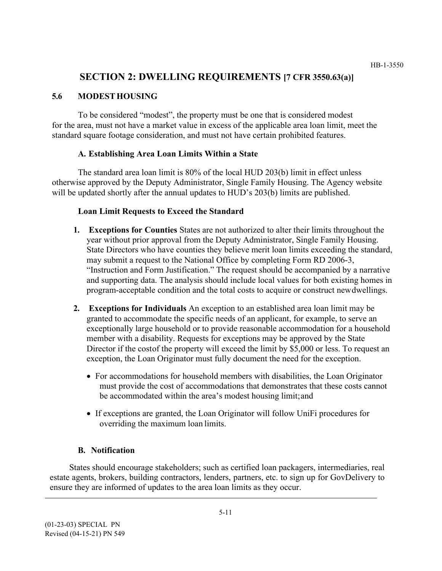# **SECTION 2: DWELLING REQUIREMENTS [7 CFR 3550.63(a)]**

### **5.6 MODESTHOUSING**

To be considered "modest", the property must be one that is considered modest for the area, must not have a market value in excess of the applicable area loan limit, meet the standard square footage consideration, and must not have certain prohibited features.

## **A. Establishing Area Loan Limits Within a State**

The standard area loan limit is 80% of the local HUD 203(b) limit in effect unless otherwise approved by the Deputy Administrator, Single Family Housing. The Agency website will be updated shortly after the annual updates to HUD's 203(b) limits are published.

## **Loan Limit Requests to Exceed the Standard**

- **1. Exceptions for Counties** States are not authorized to alter their limits throughout the year without prior approval from the Deputy Administrator, Single Family Housing. State Directors who have counties they believe merit loan limits exceeding the standard, may submit a request to the National Office by completing Form RD 2006-3, "Instruction and Form Justification." The request should be accompanied by a narrative and supporting data. The analysis should include local values for both existing homes in program-acceptable condition and the total costs to acquire or construct new dwellings.
- **2. Exceptions for Individuals** An exception to an established area loan limit may be granted to accommodate the specific needs of an applicant, for example, to serve an exceptionally large household or to provide reasonable accommodation for a household member with a disability. Requests for exceptions may be approved by the State Director if the costof the property will exceed the limit by \$5,000 or less. To request an exception, the Loan Originator must fully document the need for the exception.
	- For accommodations for household members with disabilities, the Loan Originator must provide the cost of accommodations that demonstrates that these costs cannot be accommodated within the area's modest housing limit;and
	- If exceptions are granted, the Loan Originator will follow UniFi procedures for overriding the maximum loan limits.

# **B. Notification**

States should encourage stakeholders; such as certified loan packagers, intermediaries, real estate agents, brokers, building contractors, lenders, partners, etc. to sign up for GovDelivery to ensure they are informed of updates to the area loan limits as they occur.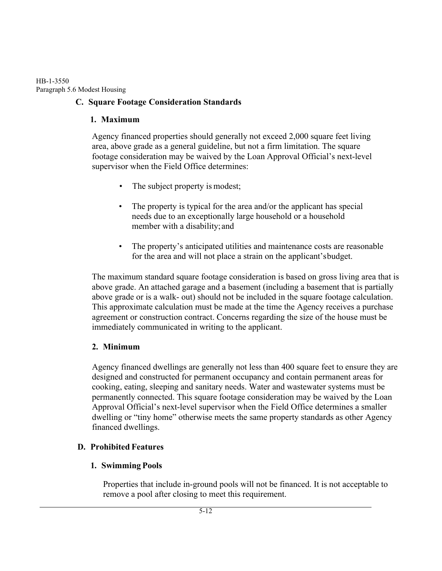HB-1-3550 Paragraph 5.6 Modest Housing

# **C. Square Footage Consideration Standards**

## **1. Maximum**

Agency financed properties should generally not exceed 2,000 square feet living area, above grade as a general guideline, but not a firm limitation. The square footage consideration may be waived by the Loan Approval Official's next-level supervisor when the Field Office determines:

- The subject property is modest;
- The property is typical for the area and/or the applicant has special needs due to an exceptionally large household or a household member with a disability; and
- The property's anticipated utilities and maintenance costs are reasonable for the area and will not place a strain on the applicant's budget.

The maximum standard square footage consideration is based on gross living area that is above grade. An attached garage and a basement (including a basement that is partially above grade or is a walk- out) should not be included in the square footage calculation. This approximate calculation must be made at the time the Agency receives a purchase agreement or construction contract. Concerns regarding the size of the house must be immediately communicated in writing to the applicant.

# **2. Minimum**

Agency financed dwellings are generally not less than 400 square feet to ensure they are designed and constructed for permanent occupancy and contain permanent areas for cooking, eating, sleeping and sanitary needs. Water and wastewater systems must be permanently connected. This square footage consideration may be waived by the Loan Approval Official's next-level supervisor when the Field Office determines a smaller dwelling or "tiny home" otherwise meets the same property standards as other Agency financed dwellings.

# **D. Prohibited Features**

# **1. Swimming Pools**

Properties that include in-ground pools will not be financed. It is not acceptable to remove a pool after closing to meet this requirement.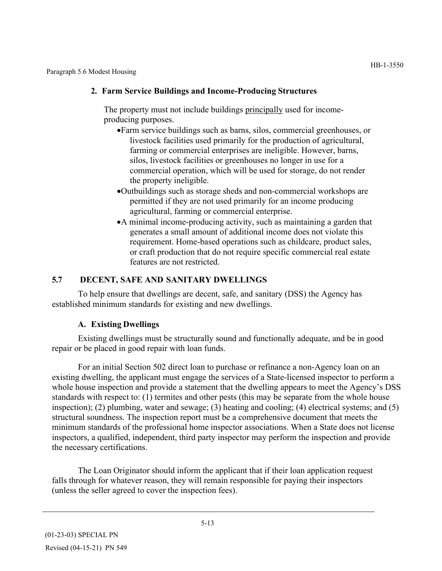Paragraph 5.6 Modest Housing

### **2. Farm Service Buildings and Income-Producing Structures**

The property must not include buildings principally used for incomeproducing purposes.

- •Farm service buildings such as barns, silos, commercial greenhouses, or livestock facilities used primarily for the production of agricultural, farming or commercial enterprises are ineligible. However, barns, silos, livestock facilities or greenhouses no longer in use for a commercial operation, which will be used for storage, do not render the property ineligible.
- •Outbuildings such as storage sheds and non-commercial workshops are permitted if they are not used primarily for an income producing agricultural, farming or commercial enterprise.
- •A minimal income-producing activity, such as maintaining a garden that generates a small amount of additional income does not violate this requirement. Home-based operations such as childcare, product sales, or craft production that do not require specific commercial real estate features are not restricted.

## **5.7 DECENT, SAFE AND SANITARY DWELLINGS**

To help ensure that dwellings are decent, safe, and sanitary (DSS) the Agency has established minimum standards for existing and new dwellings.

### **A. Existing Dwellings**

Existing dwellings must be structurally sound and functionally adequate, and be in good repair or be placed in good repair with loan funds.

For an initial Section 502 direct loan to purchase or refinance a non-Agency loan on an existing dwelling, the applicant must engage the services of a State-licensed inspector to perform a whole house inspection and provide a statement that the dwelling appears to meet the Agency's DSS standards with respect to: (1) termites and other pests (this may be separate from the whole house inspection); (2) plumbing, water and sewage; (3) heating and cooling; (4) electrical systems; and (5) structural soundness. The inspection report must be a comprehensive document that meets the minimum standards of the professional home inspector associations. When a State does not license inspectors, a qualified, independent, third party inspector may perform the inspection and provide the necessary certifications.

The Loan Originator should inform the applicant that if their loan application request falls through for whatever reason, they will remain responsible for paying their inspectors (unless the seller agreed to cover the inspection fees).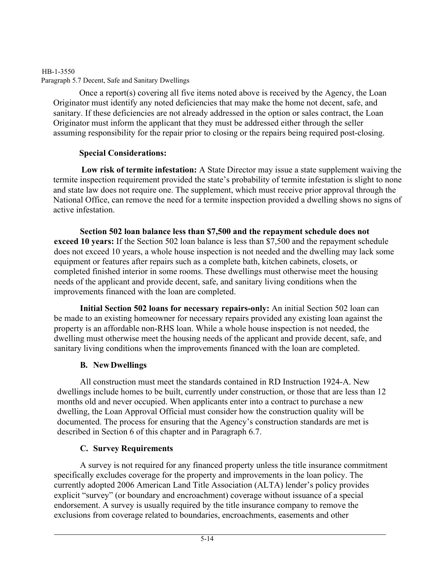# HB-1-3550 Paragraph 5.7 Decent, Safe and Sanitary Dwellings

Once a report(s) covering all five items noted above is received by the Agency, the Loan Originator must identify any noted deficiencies that may make the home not decent, safe, and sanitary. If these deficiencies are not already addressed in the option or sales contract, the Loan Originator must inform the applicant that they must be addressed either through the seller assuming responsibility for the repair prior to closing or the repairs being required post-closing.

# **Special Considerations:**

**Low risk of termite infestation:** A State Director may issue a state supplement waiving the termite inspection requirement provided the state's probability of termite infestation is slight to none and state law does not require one. The supplement, which must receive prior approval through the National Office, can remove the need for a termite inspection provided a dwelling shows no signs of active infestation.

**Section 502 loan balance less than \$7,500 and the repayment schedule does not exceed 10 years:** If the Section 502 loan balance is less than \$7,500 and the repayment schedule does not exceed 10 years, a whole house inspection is not needed and the dwelling may lack some equipment or features after repairs such as a complete bath, kitchen cabinets, closets, or completed finished interior in some rooms. These dwellings must otherwise meet the housing needs of the applicant and provide decent, safe, and sanitary living conditions when the improvements financed with the loan are completed.

**Initial Section 502 loans for necessary repairs-only:** An initial Section 502 loan can be made to an existing homeowner for necessary repairs provided any existing loan against the property is an affordable non-RHS loan. While a whole house inspection is not needed, the dwelling must otherwise meet the housing needs of the applicant and provide decent, safe, and sanitary living conditions when the improvements financed with the loan are completed.

# **B. NewDwellings**

All construction must meet the standards contained in RD Instruction 1924-A. New dwellings include homes to be built, currently under construction, or those that are less than 12 months old and never occupied. When applicants enter into a contract to purchase a new dwelling, the Loan Approval Official must consider how the construction quality will be documented. The process for ensuring that the Agency's construction standards are met is described in Section 6 of this chapter and in Paragraph 6.7.

# **C. Survey Requirements**

A survey is not required for any financed property unless the title insurance commitment specifically excludes coverage for the property and improvements in the loan policy. The currently adopted 2006 American Land Title Association (ALTA) lender's policy provides explicit "survey" (or boundary and encroachment) coverage without issuance of a special endorsement. A survey is usually required by the title insurance company to remove the exclusions from coverage related to boundaries, encroachments, easements and other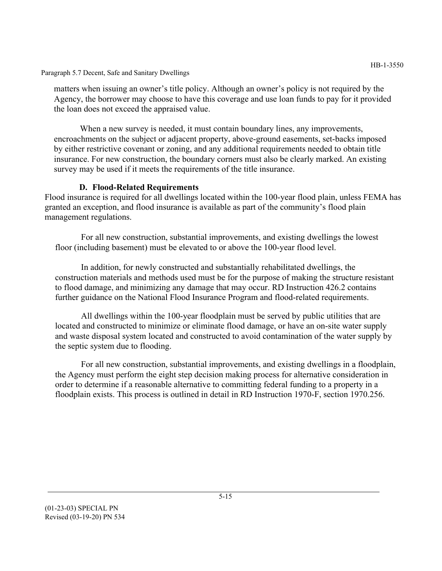Paragraph 5.7 Decent, Safe and Sanitary Dwellings

matters when issuing an owner's title policy. Although an owner's policy is not required by the Agency, the borrower may choose to have this coverage and use loan funds to pay for it provided the loan does not exceed the appraised value.

When a new survey is needed, it must contain boundary lines, any improvements, encroachments on the subject or adjacent property, above-ground easements, set-backs imposed by either restrictive covenant or zoning, and any additional requirements needed to obtain title insurance. For new construction, the boundary corners must also be clearly marked. An existing survey may be used if it meets the requirements of the title insurance.

## **D. Flood-Related Requirements**

Flood insurance is required for all dwellings located within the 100-year flood plain, unless FEMA has granted an exception, and flood insurance is available as part of the community's flood plain management regulations.

For all new construction, substantial improvements, and existing dwellings the lowest floor (including basement) must be elevated to or above the 100-year flood level.

In addition, for newly constructed and substantially rehabilitated dwellings, the construction materials and methods used must be for the purpose of making the structure resistant to flood damage, and minimizing any damage that may occur. RD Instruction 426.2 contains further guidance on the National Flood Insurance Program and flood-related requirements.

All dwellings within the 100-year floodplain must be served by public utilities that are located and constructed to minimize or eliminate flood damage, or have an on-site water supply and waste disposal system located and constructed to avoid contamination of the water supply by the septic system due to flooding.

For all new construction, substantial improvements, and existing dwellings in a floodplain, the Agency must perform the eight step decision making process for alternative consideration in order to determine if a reasonable alternative to committing federal funding to a property in a floodplain exists. This process is outlined in detail in RD Instruction 1970-F, section 1970.256.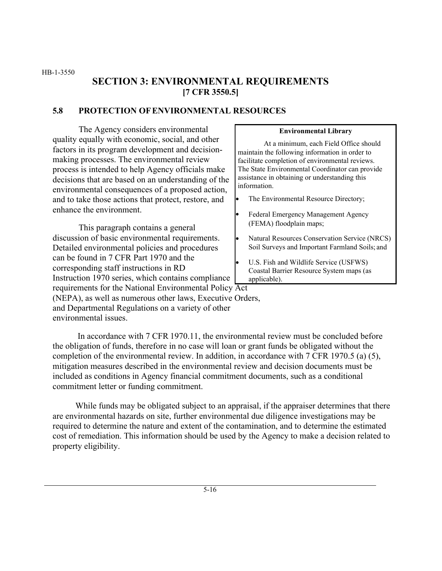HB-1-3550

# **SECTION 3: ENVIRONMENTAL REQUIREMENTS [7 CFR 3550.5]**

### **5.8 PROTECTION OFENVIRONMENTAL RESOURCES**

The Agency considers environmental quality equally with economic, social, and other factors in its program development and decisionmaking processes. The environmental review process is intended to help Agency officials make decisions that are based on an understanding of the environmental consequences of a proposed action, and to take those actions that protect, restore, and enhance the environment.

This paragraph contains a general discussion of basic environmental requirements. Detailed environmental policies and procedures can be found in 7 CFR Part 1970 and the corresponding staff instructions in RD Instruction 1970 series, which contains compliance

#### **Environmental Library**

At a minimum, each Field Office should maintain the following information in order to facilitate completion of environmental reviews. The State Environmental Coordinator can provide assistance in obtaining or understanding this information.

- The Environmental Resource Directory;
- Federal Emergency Management Agency (FEMA) floodplain maps;
- Natural Resources Conservation Service (NRCS) Soil Surveys and Important Farmland Soils; and
- U.S. Fish and Wildlife Service (USFWS) Coastal Barrier Resource System maps (as applicable).

requirements for the National Environmental Policy Act

(NEPA), as well as numerous other laws, Executive Orders, and Departmental Regulations on a variety of other environmental issues.

In accordance with 7 CFR 1970.11, the environmental review must be concluded before the obligation of funds, therefore in no case will loan or grant funds be obligated without the completion of the environmental review. In addition, in accordance with 7 CFR 1970.5 (a) (5), mitigation measures described in the environmental review and decision documents must be included as conditions in Agency financial commitment documents, such as a conditional commitment letter or funding commitment.

While funds may be obligated subject to an appraisal, if the appraiser determines that there are environmental hazards on site, further environmental due diligence investigations may be required to determine the nature and extent of the contamination, and to determine the estimated cost of remediation. This information should be used by the Agency to make a decision related to property eligibility.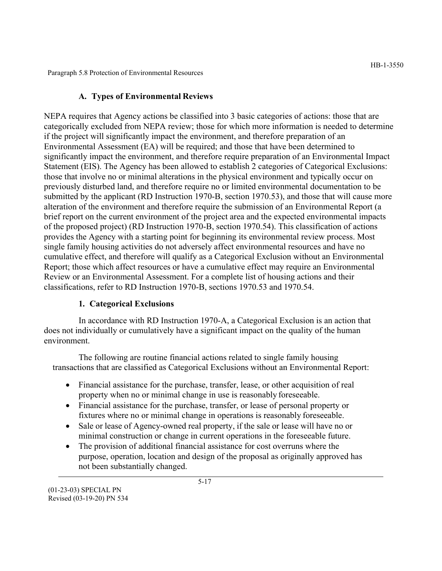Paragraph 5.8 Protection of Environmental Resources

### **A. Types of Environmental Reviews**

NEPA requires that Agency actions be classified into 3 basic categories of actions: those that are categorically excluded from NEPA review; those for which more information is needed to determine if the project will significantly impact the environment, and therefore preparation of an Environmental Assessment (EA) will be required; and those that have been determined to significantly impact the environment, and therefore require preparation of an Environmental Impact Statement (EIS). The Agency has been allowed to establish 2 categories of Categorical Exclusions: those that involve no or minimal alterations in the physical environment and typically occur on previously disturbed land, and therefore require no or limited environmental documentation to be submitted by the applicant (RD Instruction 1970-B, section 1970.53), and those that will cause more alteration of the environment and therefore require the submission of an Environmental Report (a brief report on the current environment of the project area and the expected environmental impacts of the proposed project) (RD Instruction 1970-B, section 1970.54). This classification of actions provides the Agency with a starting point for beginning its environmental review process. Most single family housing activities do not adversely affect environmental resources and have no cumulative effect, and therefore will qualify as a Categorical Exclusion without an Environmental Report; those which affect resources or have a cumulative effect may require an Environmental Review or an Environmental Assessment. For a complete list of housing actions and their classifications, refer to RD Instruction 1970-B, sections 1970.53 and 1970.54.

### **1. Categorical Exclusions**

In accordance with RD Instruction 1970-A, a Categorical Exclusion is an action that does not individually or cumulatively have a significant impact on the quality of the human environment.

The following are routine financial actions related to single family housing transactions that are classified as Categorical Exclusions without an Environmental Report:

- Financial assistance for the purchase, transfer, lease, or other acquisition of real property when no or minimal change in use is reasonably foreseeable.
- Financial assistance for the purchase, transfer, or lease of personal property or fixtures where no or minimal change in operations is reasonably foreseeable.
- Sale or lease of Agency-owned real property, if the sale or lease will have no or minimal construction or change in current operations in the foreseeable future.
- The provision of additional financial assistance for cost overruns where the purpose, operation, location and design of the proposal as originally approved has not been substantially changed.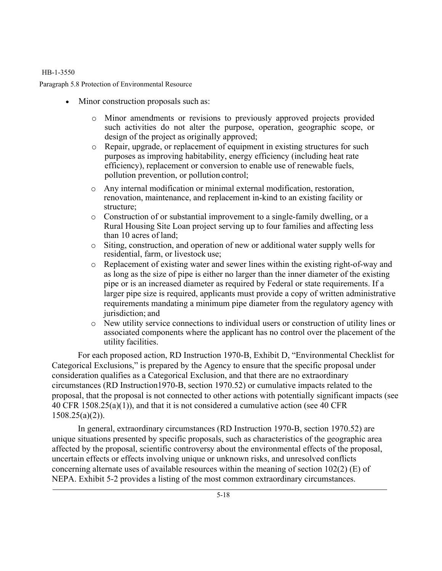#### HB-1-3550

Paragraph 5.8 Protection of Environmental Resource

- Minor construction proposals such as:
	- o Minor amendments or revisions to previously approved projects provided such activities do not alter the purpose, operation, geographic scope, or design of the project as originally approved;
	- o Repair, upgrade, or replacement of equipment in existing structures for such purposes as improving habitability, energy efficiency (including heat rate efficiency), replacement or conversion to enable use of renewable fuels, pollution prevention, or pollution control;
	- o Any internal modification or minimal external modification, restoration, renovation, maintenance, and replacement in-kind to an existing facility or structure;
	- o Construction of or substantial improvement to a single-family dwelling, or a Rural Housing Site Loan project serving up to four families and affecting less than 10 acres of land;
	- o Siting, construction, and operation of new or additional water supply wells for residential, farm, or livestock use;
	- o Replacement of existing water and sewer lines within the existing right-of-way and as long as the size of pipe is either no larger than the inner diameter of the existing pipe or is an increased diameter as required by Federal or state requirements. If a larger pipe size is required, applicants must provide a copy of written administrative requirements mandating a minimum pipe diameter from the regulatory agency with jurisdiction; and
	- o New utility service connections to individual users or construction of utility lines or associated components where the applicant has no control over the placement of the utility facilities.

For each proposed action, RD Instruction 1970-B, Exhibit D, "Environmental Checklist for Categorical Exclusions," is prepared by the Agency to ensure that the specific proposal under consideration qualifies as a Categorical Exclusion, and that there are no extraordinary circumstances (RD Instruction1970-B, section 1970.52) or cumulative impacts related to the proposal, that the proposal is not connected to other actions with potentially significant impacts (see 40 CFR 1508.25(a)(1)), and that it is not considered a cumulative action (see 40 CFR  $1508.25(a)(2)$ ).

In general, extraordinary circumstances (RD Instruction 1970-B, section 1970.52) are unique situations presented by specific proposals, such as characteristics of the geographic area affected by the proposal, scientific controversy about the environmental effects of the proposal, uncertain effects or effects involving unique or unknown risks, and unresolved conflicts concerning alternate uses of available resources within the meaning of section 102(2) (E) of NEPA. Exhibit 5-2 provides a listing of the most common extraordinary circumstances.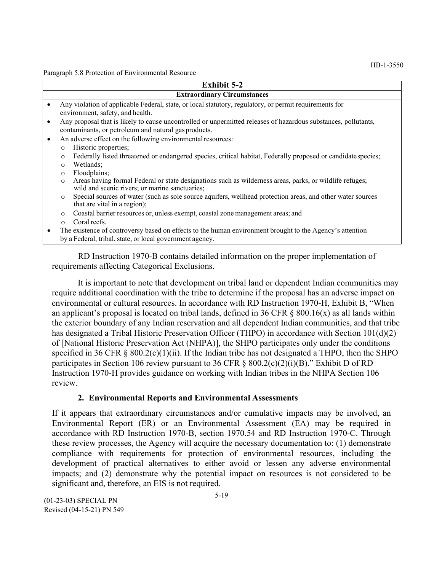Paragraph 5.8 Protection of Environmental Resource

|           | <b>Exhibit 5-2</b>                                                                                                                                                   |  |  |  |  |  |
|-----------|----------------------------------------------------------------------------------------------------------------------------------------------------------------------|--|--|--|--|--|
|           | <b>Extraordinary Circumstances</b>                                                                                                                                   |  |  |  |  |  |
|           | Any violation of applicable Federal, state, or local statutory, regulatory, or permit requirements for                                                               |  |  |  |  |  |
|           | environment, safety, and health.                                                                                                                                     |  |  |  |  |  |
| $\bullet$ | Any proposal that is likely to cause uncontrolled or unpermitted releases of hazardous substances, pollutants,                                                       |  |  |  |  |  |
|           | contaminants, or petroleum and natural gas products.                                                                                                                 |  |  |  |  |  |
| $\bullet$ | An adverse effect on the following environmental resources:                                                                                                          |  |  |  |  |  |
|           | Historic properties;<br>$\circ$                                                                                                                                      |  |  |  |  |  |
|           | Federally listed threatened or endangered species, critical habitat, Federally proposed or candidate species;<br>$\circ$                                             |  |  |  |  |  |
|           | Wetlands;<br>$\Omega$                                                                                                                                                |  |  |  |  |  |
|           | Floodplains;<br>$\circ$                                                                                                                                              |  |  |  |  |  |
|           | Areas having formal Federal or state designations such as wilderness areas, parks, or wildlife refuges;<br>$\circ$<br>wild and scenic rivers; or marine sanctuaries; |  |  |  |  |  |
|           | Special sources of water (such as sole source aquifers, wellhead protection areas, and other water sources<br>$\circ$<br>that are vital in a region);                |  |  |  |  |  |
|           | Coastal barrier resources or, unless exempt, coastal zone management areas; and<br>$\circ$                                                                           |  |  |  |  |  |
|           | Coral reefs.<br>$\Omega$                                                                                                                                             |  |  |  |  |  |
|           | The existence of controversy based on effects to the human environment brought to the Agency's attention                                                             |  |  |  |  |  |
|           | by a Federal, tribal, state, or local government agency.                                                                                                             |  |  |  |  |  |
|           |                                                                                                                                                                      |  |  |  |  |  |
|           | RD Instruction 1970-B contains detailed information on the proper implementation of                                                                                  |  |  |  |  |  |

requirements affecting Categorical Exclusions.

It is important to note that development on tribal land or dependent Indian communities may require additional coordination with the tribe to determine if the proposal has an adverse impact on environmental or cultural resources. In accordance with RD Instruction 1970-H, Exhibit B, "When an applicant's proposal is located on tribal lands, defined in 36 CFR  $\S$  800.16(x) as all lands within the exterior boundary of any Indian reservation and all dependent Indian communities, and that tribe has designated a Tribal Historic Preservation Officer (THPO) in accordance with Section 101(d)(2) of [National Historic Preservation Act (NHPA)], the SHPO participates only under the conditions specified in 36 CFR § 800.2(c)(1)(ii). If the Indian tribe has not designated a THPO, then the SHPO participates in Section 106 review pursuant to 36 CFR  $\S$  800.2(c)(2)(i)(B)." Exhibit D of RD Instruction 1970-H provides guidance on working with Indian tribes in the NHPA Section 106 review.

### **2. Environmental Reports and Environmental Assessments**

If it appears that extraordinary circumstances and/or cumulative impacts may be involved, an Environmental Report (ER) or an Environmental Assessment (EA) may be required in accordance with RD Instruction 1970-B, section 1970.54 and RD Instruction 1970-C. Through these review processes, the Agency will acquire the necessary documentation to: (1) demonstrate compliance with requirements for protection of environmental resources, including the development of practical alternatives to either avoid or lessen any adverse environmental impacts; and (2) demonstrate why the potential impact on resources is not considered to be significant and, therefore, an EIS is not required.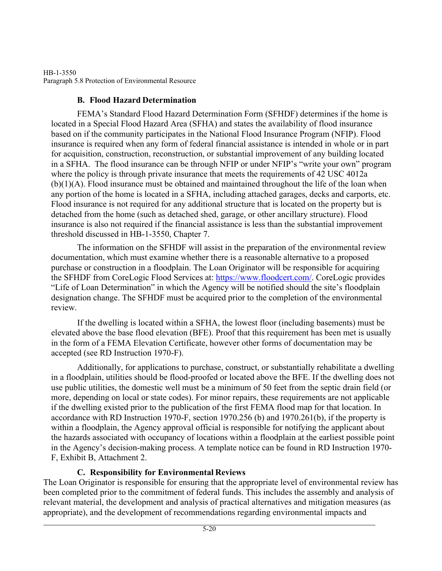### HB-1-3550 Paragraph 5.8 Protection of Environmental Resource

# **B. Flood Hazard Determination**

FEMA's Standard Flood Hazard Determination Form (SFHDF) determines if the home is located in a Special Flood Hazard Area (SFHA) and states the availability of flood insurance based on if the community participates in the National Flood Insurance Program (NFIP). Flood insurance is required when any form of federal financial assistance is intended in whole or in part for acquisition, construction, reconstruction, or substantial improvement of any building located in a SFHA. The flood insurance can be through NFIP or under NFIP's "write your own" program where the policy is through private insurance that meets the requirements of 42 USC 4012a  $(b)(1)(A)$ . Flood insurance must be obtained and maintained throughout the life of the loan when any portion of the home is located in a SFHA, including attached garages, decks and carports, etc. Flood insurance is not required for any additional structure that is located on the property but is detached from the home (such as detached shed, garage, or other ancillary structure). Flood insurance is also not required if the financial assistance is less than the substantial improvement threshold discussed in HB-1-3550, Chapter 7.

The information on the SFHDF will assist in the preparation of the environmental review documentation, which must examine whether there is a reasonable alternative to a proposed purchase or construction in a floodplain. The Loan Originator will be responsible for acquiring the SFHDF from CoreLogic Flood Services at: [https://www.floodcert.com/](http://www.floodcert.com/). CoreLogic provides "Life of Loan Determination" in which the Agency will be notified should the site's floodplain designation change. The SFHDF must be acquired prior to the completion of the environmental review.

If the dwelling is located within a SFHA, the lowest floor (including basements) must be elevated above the base flood elevation (BFE). Proof that this requirement has been met is usually in the form of a FEMA Elevation Certificate, however other forms of documentation may be accepted (see RD Instruction 1970-F).

Additionally, for applications to purchase, construct, or substantially rehabilitate a dwelling in a floodplain, utilities should be flood-proofed or located above the BFE. If the dwelling does not use public utilities, the domestic well must be a minimum of 50 feet from the septic drain field (or more, depending on local or state codes). For minor repairs, these requirements are not applicable if the dwelling existed prior to the publication of the first FEMA flood map for that location. In accordance with RD Instruction 1970-F, section 1970.256 (b) and 1970.261(b), if the property is within a floodplain, the Agency approval official is responsible for notifying the applicant about the hazards associated with occupancy of locations within a floodplain at the earliest possible point in the Agency's decision-making process. A template notice can be found in RD Instruction 1970- F, Exhibit B, Attachment 2.

# **C. Responsibility for Environmental Reviews**

The Loan Originator is responsible for ensuring that the appropriate level of environmental review has been completed prior to the commitment of federal funds. This includes the assembly and analysis of relevant material, the development and analysis of practical alternatives and mitigation measures (as appropriate), and the development of recommendations regarding environmental impacts and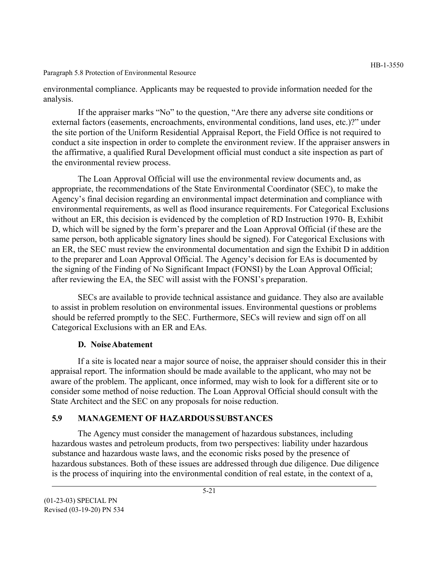#### Paragraph 5.8 Protection of Environmental Resource

environmental compliance. Applicants may be requested to provide information needed for the analysis.

If the appraiser marks "No" to the question, "Are there any adverse site conditions or external factors (easements, encroachments, environmental conditions, land uses, etc.)?" under the site portion of the Uniform Residential Appraisal Report, the Field Office is not required to conduct a site inspection in order to complete the environment review. If the appraiser answers in the affirmative, a qualified Rural Development official must conduct a site inspection as part of the environmental review process.

The Loan Approval Official will use the environmental review documents and, as appropriate, the recommendations of the State Environmental Coordinator (SEC), to make the Agency's final decision regarding an environmental impact determination and compliance with environmental requirements, as well as flood insurance requirements. For Categorical Exclusions without an ER, this decision is evidenced by the completion of RD Instruction 1970- B, Exhibit D, which will be signed by the form's preparer and the Loan Approval Official (if these are the same person, both applicable signatory lines should be signed). For Categorical Exclusions with an ER, the SEC must review the environmental documentation and sign the Exhibit D in addition to the preparer and Loan Approval Official. The Agency's decision for EAs is documented by the signing of the Finding of No Significant Impact (FONSI) by the Loan Approval Official; after reviewing the EA, the SEC will assist with the FONSI's preparation.

SECs are available to provide technical assistance and guidance. They also are available to assist in problem resolution on environmental issues. Environmental questions or problems should be referred promptly to the SEC. Furthermore, SECs will review and sign off on all Categorical Exclusions with an ER and EAs.

#### **D. NoiseAbatement**

If a site is located near a major source of noise, the appraiser should consider this in their appraisal report. The information should be made available to the applicant, who may not be aware of the problem. The applicant, once informed, may wish to look for a different site or to consider some method of noise reduction. The Loan Approval Official should consult with the State Architect and the SEC on any proposals for noise reduction.

### **5.9 MANAGEMENT OF HAZARDOUSSUBSTANCES**

The Agency must consider the management of hazardous substances, including hazardous wastes and petroleum products, from two perspectives: liability under hazardous substance and hazardous waste laws, and the economic risks posed by the presence of hazardous substances. Both of these issues are addressed through due diligence. Due diligence is the process of inquiring into the environmental condition of real estate, in the context of a,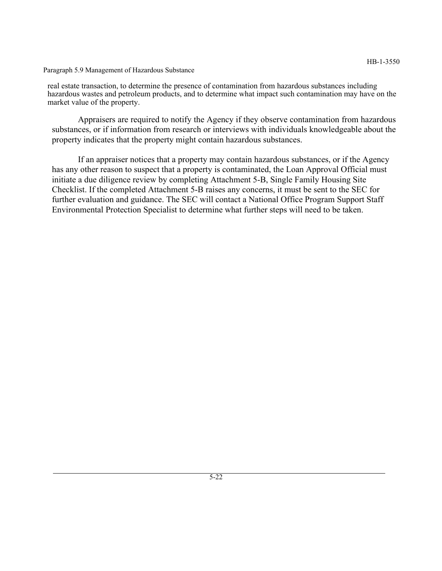Paragraph 5.9 Management of Hazardous Substance

real estate transaction, to determine the presence of contamination from hazardous substances including hazardous wastes and petroleum products, and to determine what impact such contamination may have on the market value of the property.

Appraisers are required to notify the Agency if they observe contamination from hazardous substances, or if information from research or interviews with individuals knowledgeable about the property indicates that the property might contain hazardous substances.

If an appraiser notices that a property may contain hazardous substances, or if the Agency has any other reason to suspect that a property is contaminated, the Loan Approval Official must initiate a due diligence review by completing Attachment 5-B, Single Family Housing Site Checklist. If the completed Attachment 5-B raises any concerns, it must be sent to the SEC for further evaluation and guidance. The SEC will contact a National Office Program Support Staff Environmental Protection Specialist to determine what further steps will need to be taken.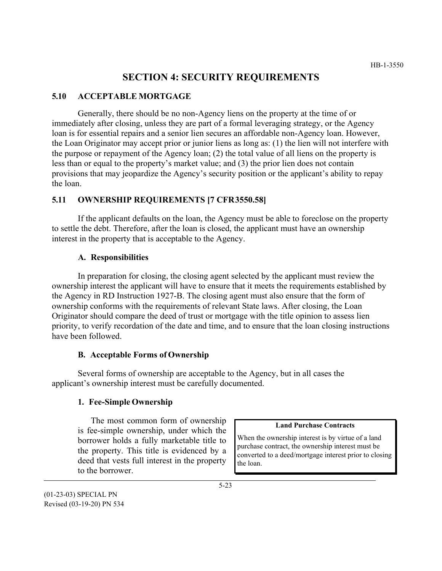# **SECTION 4: SECURITY REQUIREMENTS**

#### **5.10 ACCEPTABLE MORTGAGE**

Generally, there should be no non-Agency liens on the property at the time of or immediately after closing, unless they are part of a formal leveraging strategy, or the Agency loan is for essential repairs and a senior lien secures an affordable non-Agency loan. However, the Loan Originator may accept prior or junior liens as long as: (1) the lien will not interfere with the purpose or repayment of the Agency loan; (2) the total value of all liens on the property is less than or equal to the property's market value; and (3) the prior lien does not contain provisions that may jeopardize the Agency's security position or the applicant's ability to repay the loan.

#### **5.11 OWNERSHIP REQUIREMENTS [7 CFR 3550.58]**

If the applicant defaults on the loan, the Agency must be able to foreclose on the property to settle the debt. Therefore, after the loan is closed, the applicant must have an ownership interest in the property that is acceptable to the Agency.

#### **A. Responsibilities**

In preparation for closing, the closing agent selected by the applicant must review the ownership interest the applicant will have to ensure that it meets the requirements established by the Agency in RD Instruction 1927-B. The closing agent must also ensure that the form of ownership conforms with the requirements of relevant State laws. After closing, the Loan Originator should compare the deed of trust or mortgage with the title opinion to assess lien priority, to verify recordation of the date and time, and to ensure that the loan closing instructions have been followed.

#### **B. Acceptable Forms of Ownership**

Several forms of ownership are acceptable to the Agency, but in all cases the applicant's ownership interest must be carefully documented.

#### **1. Fee-Simple Ownership**

The most common form of ownership is fee-simple ownership, under which the borrower holds a fully marketable title to the property. This title is evidenced by a deed that vests full interest in the property to the borrower.

#### **Land Purchase Contracts**

When the ownership interest is by virtue of a land purchase contract, the ownership interest must be converted to a deed/mortgage interest prior to closing the loan.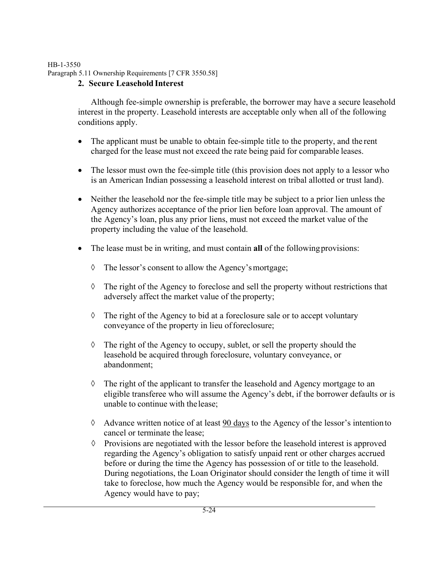#### HB-1-3550 Paragraph 5.11 Ownership Requirements [7 CFR 3550.58]

# **2. Secure Leasehold Interest**

Although fee-simple ownership is preferable, the borrower may have a secure leasehold interest in the property. Leasehold interests are acceptable only when all of the following conditions apply.

- The applicant must be unable to obtain fee-simple title to the property, and the rent charged for the lease must not exceed the rate being paid for comparable leases.
- The lessor must own the fee-simple title (this provision does not apply to a lessor who is an American Indian possessing a leasehold interest on tribal allotted or trust land).
- Neither the leasehold nor the fee-simple title may be subject to a prior lien unless the Agency authorizes acceptance of the prior lien before loan approval. The amount of the Agency's loan, plus any prior liens, must not exceed the market value of the property including the value of the leasehold.
- The lease must be in writing, and must contain **all** of the following provisions:
	- ◊ The lessor's consent to allow the Agency's mortgage;
	- ◊ The right of the Agency to foreclose and sell the property without restrictions that adversely affect the market value of the property;
	- ◊ The right of the Agency to bid at a foreclosure sale or to accept voluntary conveyance of the property in lieu of foreclosure;
	- ◊ The right of the Agency to occupy, sublet, or sell the property should the leasehold be acquired through foreclosure, voluntary conveyance, or abandonment;
	- ◊ The right of the applicant to transfer the leasehold and Agency mortgage to an eligible transferee who will assume the Agency's debt, if the borrower defaults or is unable to continue with thelease;
	- ◊ Advance written notice of at least 90 days to the Agency of the lessor's intention to cancel or terminate the lease;
	- ◊ Provisions are negotiated with the lessor before the leasehold interest is approved regarding the Agency's obligation to satisfy unpaid rent or other charges accrued before or during the time the Agency has possession of or title to the leasehold. During negotiations, the Loan Originator should consider the length of time it will take to foreclose, how much the Agency would be responsible for, and when the Agency would have to pay;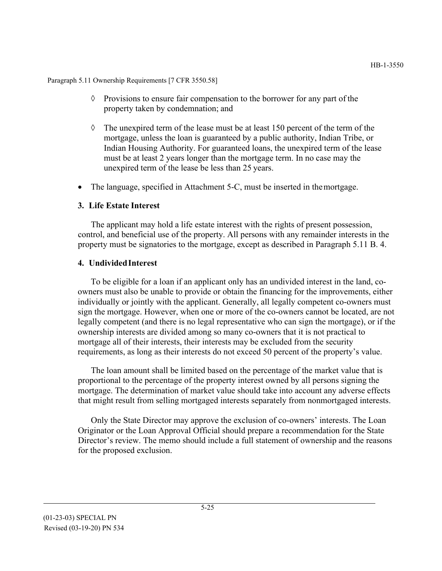Paragraph 5.11 Ownership Requirements [7 CFR 3550.58]

- ◊ Provisions to ensure fair compensation to the borrower for any part of the property taken by condemnation; and
- $\Diamond$  The unexpired term of the lease must be at least 150 percent of the term of the mortgage, unless the loan is guaranteed by a public authority, Indian Tribe, or Indian Housing Authority. For guaranteed loans, the unexpired term of the lease must be at least 2 years longer than the mortgage term. In no case may the unexpired term of the lease be less than 25 years.
- The language, specified in Attachment 5-C, must be inserted in the mortgage.

### **3. Life Estate Interest**

The applicant may hold a life estate interest with the rights of present possession, control, and beneficial use of the property. All persons with any remainder interests in the property must be signatories to the mortgage, except as described in Paragraph 5.11 B. 4.

#### **4. UndividedInterest**

To be eligible for a loan if an applicant only has an undivided interest in the land, coowners must also be unable to provide or obtain the financing for the improvements, either individually or jointly with the applicant. Generally, all legally competent co-owners must sign the mortgage. However, when one or more of the co-owners cannot be located, are not legally competent (and there is no legal representative who can sign the mortgage), or if the ownership interests are divided among so many co-owners that it is not practical to mortgage all of their interests, their interests may be excluded from the security requirements, as long as their interests do not exceed 50 percent of the property's value.

The loan amount shall be limited based on the percentage of the market value that is proportional to the percentage of the property interest owned by all persons signing the mortgage. The determination of market value should take into account any adverse effects that might result from selling mortgaged interests separately from nonmortgaged interests.

Only the State Director may approve the exclusion of co-owners' interests. The Loan Originator or the Loan Approval Official should prepare a recommendation for the State Director's review. The memo should include a full statement of ownership and the reasons for the proposed exclusion.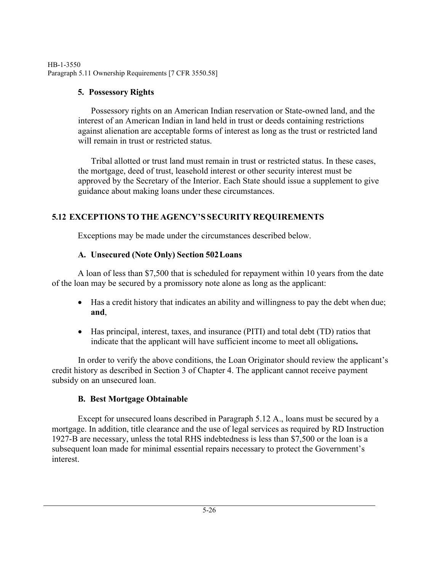HB-1-3550 Paragraph 5.11 Ownership Requirements [7 CFR 3550.58]

# **5. Possessory Rights**

Possessory rights on an American Indian reservation or State-owned land, and the interest of an American Indian in land held in trust or deeds containing restrictions against alienation are acceptable forms of interest as long as the trust or restricted land will remain in trust or restricted status.

Tribal allotted or trust land must remain in trust or restricted status. In these cases, the mortgage, deed of trust, leasehold interest or other security interest must be approved by the Secretary of the Interior. Each State should issue a supplement to give guidance about making loans under these circumstances.

# **5.12 EXCEPTIONSTO THE AGENCY'S SECURITYREQUIREMENTS**

Exceptions may be made under the circumstances described below.

# **A. Unsecured (Note Only) Section 502 Loans**

A loan of less than \$7,500 that is scheduled for repayment within 10 years from the date of the loan may be secured by a promissory note alone as long as the applicant:

- Has a credit history that indicates an ability and willingness to pay the debt when due; **and**,
- Has principal, interest, taxes, and insurance (PITI) and total debt (TD) ratios that indicate that the applicant will have sufficient income to meet all obligations**.**

In order to verify the above conditions, the Loan Originator should review the applicant's credit history as described in Section 3 of Chapter 4. The applicant cannot receive payment subsidy on an unsecured loan.

# **B. Best Mortgage Obtainable**

Except for unsecured loans described in Paragraph 5.12 A., loans must be secured by a mortgage. In addition, title clearance and the use of legal services as required by RD Instruction 1927-B are necessary, unless the total RHS indebtedness is less than \$7,500 or the loan is a subsequent loan made for minimal essential repairs necessary to protect the Government's interest.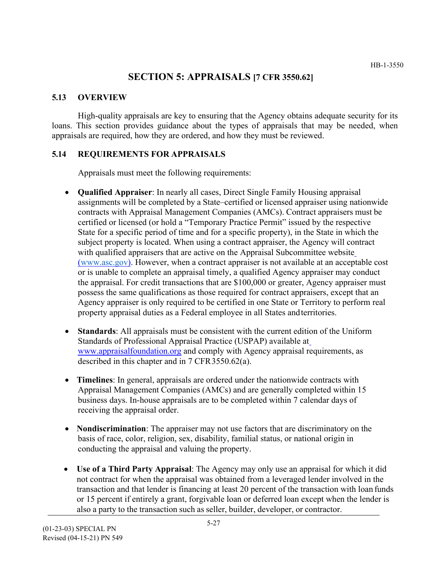# **SECTION 5: APPRAISALS [7 CFR 3550.62]**

#### **5.13 OVERVIEW**

High-quality appraisals are key to ensuring that the Agency obtains adequate security for its loans. This section provides guidance about the types of appraisals that may be needed, when appraisals are required, how they are ordered, and how they must be reviewed.

### **5.14 REQUIREMENTS FOR APPRAISALS**

Appraisals must meet the following requirements:

- **Qualified Appraiser**: In nearly all cases, Direct Single Family Housing appraisal assignments will be completed by a State–certified or licensed appraiser using nationwide contracts with Appraisal Management Companies (AMCs). Contract appraisers must be certified or licensed (or hold a "Temporary Practice Permit" issued by the respective State for a specific period of time and for a specific property), in the State in which the subject property is located. When using a contract appraiser, the Agency will contract with qualified appraisers that are active on the Appraisal Subcommittee website (www.asc.gov). However, when a contract appraiser is not available at an acceptable cost or is unable to complete an appraisal timely, a qualified Agency appraiser may conduct the appraisal. For credit transactions that are \$100,000 or greater, Agency appraiser must possess the same qualifications as those required for contract appraisers, except that an Agency appraiser is only required to be certified in one State or Territory to perform real property appraisal duties as a Federal employee in all States andterritories.
- **Standards**: All appraisals must be consistent with the current edition of the Uniform Standards of Professional Appraisal Practice (USPAP) available a[t](http://www.appraisalfoundation.org/) [www.appraisalfoundation.org a](http://www.appraisalfoundation.org/)nd comply with Agency appraisal requirements, as described in this chapter and in 7 CFR 3550.62(a).
- **Timelines**: In general, appraisals are ordered under the nationwide contracts with Appraisal Management Companies (AMCs) and are generally completed within 15 business days. In-house appraisals are to be completed within 7 calendar days of receiving the appraisal order.
- **Nondiscrimination**: The appraiser may not use factors that are discriminatory on the basis of race, color, religion, sex, disability, familial status, or national origin in conducting the appraisal and valuing the property.
- **Use of a Third Party Appraisal**: The Agency may only use an appraisal for which it did not contract for when the appraisal was obtained from a leveraged lender involved in the transaction and that lender is financing at least 20 percent of the transaction with loan funds or 15 percent if entirely a grant, forgivable loan or deferred loan except when the lender is also a party to the transaction such as seller, builder, developer, or contractor.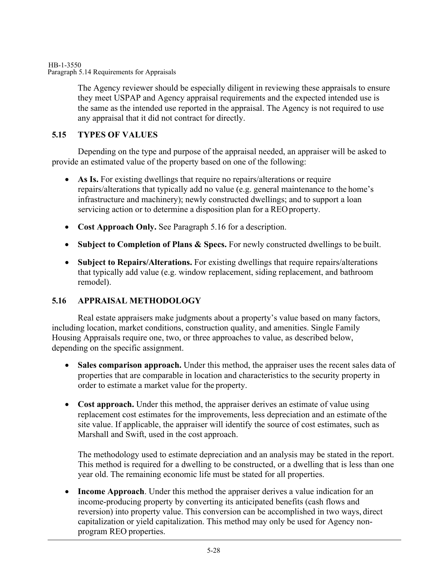HB-1-3550 Paragraph 5.14 Requirements for Appraisals

> The Agency reviewer should be especially diligent in reviewing these appraisals to ensure they meet USPAP and Agency appraisal requirements and the expected intended use is the same as the intended use reported in the appraisal. The Agency is not required to use any appraisal that it did not contract for directly.

## **5.15 TYPES OF VALUES**

Depending on the type and purpose of the appraisal needed, an appraiser will be asked to provide an estimated value of the property based on one of the following:

- As Is. For existing dwellings that require no repairs/alterations or require repairs/alterations that typically add no value (e.g. general maintenance to the home's infrastructure and machinery); newly constructed dwellings; and to support a loan servicing action or to determine a disposition plan for a REO property.
- **Cost Approach Only.** See Paragraph 5.16 for a description.
- **Subject to Completion of Plans & Specs.** For newly constructed dwellings to be built.
- **Subject to Repairs/Alterations.** For existing dwellings that require repairs/alterations that typically add value (e.g. window replacement, siding replacement, and bathroom remodel).

### **5.16 APPRAISAL METHODOLOGY**

Real estate appraisers make judgments about a property's value based on many factors, including location, market conditions, construction quality, and amenities. Single Family Housing Appraisals require one, two, or three approaches to value, as described below, depending on the specific assignment.

- Sales comparison approach. Under this method, the appraiser uses the recent sales data of properties that are comparable in location and characteristics to the security property in order to estimate a market value for the property.
- **Cost approach.** Under this method, the appraiser derives an estimate of value using replacement cost estimates for the improvements, less depreciation and an estimate of the site value. If applicable, the appraiser will identify the source of cost estimates, such as Marshall and Swift, used in the cost approach.

The methodology used to estimate depreciation and an analysis may be stated in the report. This method is required for a dwelling to be constructed, or a dwelling that is less than one year old. The remaining economic life must be stated for all properties.

• **Income Approach**. Under this method the appraiser derives a value indication for an income-producing property by converting its anticipated benefits (cash flows and reversion) into property value. This conversion can be accomplished in two ways, direct capitalization or yield capitalization. This method may only be used for Agency nonprogram REO properties.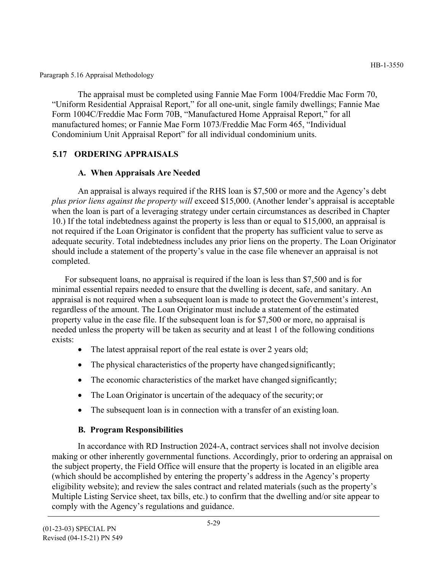Paragraph 5.16 Appraisal Methodology

The appraisal must be completed using Fannie Mae Form 1004/Freddie Mac Form 70, "Uniform Residential Appraisal Report," for all one-unit, single family dwellings; Fannie Mae Form 1004C/Freddie Mac Form 70B, "Manufactured Home Appraisal Report," for all manufactured homes; or Fannie Mae Form 1073/Freddie Mac Form 465, "Individual Condominium Unit Appraisal Report" for all individual condominium units.

# **5.17 ORDERING APPRAISALS**

# **A. When Appraisals Are Needed**

An appraisal is always required if the RHS loan is \$7,500 or more and the Agency's debt *plus prior liens against the property will* exceed \$15,000. (Another lender's appraisal is acceptable when the loan is part of a leveraging strategy under certain circumstances as described in Chapter 10.) If the total indebtedness against the property is less than or equal to \$15,000, an appraisal is not required if the Loan Originator is confident that the property has sufficient value to serve as adequate security. Total indebtedness includes any prior liens on the property. The Loan Originator should include a statement of the property's value in the case file whenever an appraisal is not completed.

For subsequent loans, no appraisal is required if the loan is less than \$7,500 and is for minimal essential repairs needed to ensure that the dwelling is decent, safe, and sanitary. An appraisal is not required when a subsequent loan is made to protect the Government's interest, regardless of the amount. The Loan Originator must include a statement of the estimated property value in the case file. If the subsequent loan is for \$7,500 or more, no appraisal is needed unless the property will be taken as security and at least 1 of the following conditions exists:

- The latest appraisal report of the real estate is over 2 years old;
- The physical characteristics of the property have changed significantly;
- The economic characteristics of the market have changed significantly;
- The Loan Originator is uncertain of the adequacy of the security; or
- The subsequent loan is in connection with a transfer of an existing loan.

# **B. Program Responsibilities**

In accordance with RD Instruction 2024-A, contract services shall not involve decision making or other inherently governmental functions. Accordingly, prior to ordering an appraisal on the subject property, the Field Office will ensure that the property is located in an eligible area (which should be accomplished by entering the property's address in the Agency's property eligibility website); and review the sales contract and related materials (such as the property's Multiple Listing Service sheet, tax bills, etc.) to confirm that the dwelling and/or site appear to comply with the Agency's regulations and guidance.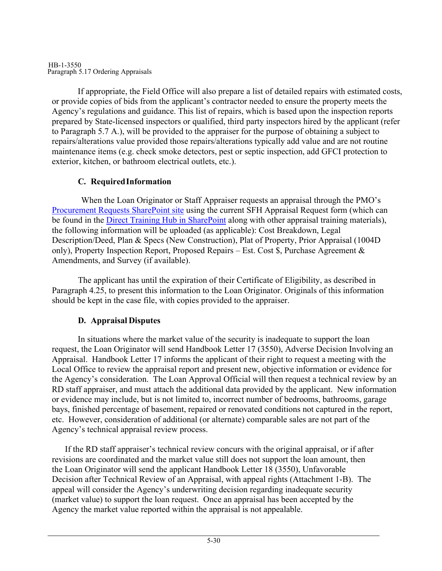#### HB-1-3550 Paragraph 5.17 Ordering Appraisals

If appropriate, the Field Office will also prepare a list of detailed repairs with estimated costs, or provide copies of bids from the applicant's contractor needed to ensure the property meets the Agency's regulations and guidance. This list of repairs, which is based upon the inspection reports prepared by State-licensed inspectors or qualified, third party inspectors hired by the applicant (refer to Paragraph 5.7 A.), will be provided to the appraiser for the purpose of obtaining a subject to repairs/alterations value provided those repairs/alterations typically add value and are not routine maintenance items (e.g. check smoke detectors, pest or septic inspection, add GFCI protection to exterior, kitchen, or bathroom electrical outlets, etc.).

# **C. Required Information**

When the Loan Originator or Staff Appraiser requests an appraisal through the PMO's [Procurement Requests SharePoint site](https://usdagcc.sharepoint.com/sites/rd_om/PMO/SitePages/Requests.aspx) using the current SFH Appraisal Request form (which can be found in the [Direct Training Hub in SharePoint a](https://usdagcc.sharepoint.com/sites/rd_hcfp/SFH1/trainhub/National%20Office%20Training/Forms/AllItems.aspx?viewid=00000000%2D0000%2D0000%2D0000%2D000000000000&id=%2Fsites%2Frd%5Fhcfp%2FSFH1%2Ftrainhub%2FNational%20Office%20Training%2FPLCE%20%7E%20Appraisal%20Training)long with other appraisal training materials), the following information will be uploaded (as applicable): Cost Breakdown, Legal Description/Deed, Plan & Specs (New Construction), Plat of Property, Prior Appraisal (1004D only), Property Inspection Report, Proposed Repairs – Est. Cost \$, Purchase Agreement & Amendments, and Survey (if available).

The applicant has until the expiration of their Certificate of Eligibility, as described in Paragraph 4.25, to present this information to the Loan Originator. Originals of this information should be kept in the case file, with copies provided to the appraiser.

# **D. Appraisal Disputes**

In situations where the market value of the security is inadequate to support the loan request, the Loan Originator will send Handbook Letter 17 (3550), Adverse Decision Involving an Appraisal. Handbook Letter 17 informs the applicant of their right to request a meeting with the Local Office to review the appraisal report and present new, objective information or evidence for the Agency's consideration. The Loan Approval Official will then request a technical review by an RD staff appraiser, and must attach the additional data provided by the applicant. New information or evidence may include, but is not limited to, incorrect number of bedrooms, bathrooms, garage bays, finished percentage of basement, repaired or renovated conditions not captured in the report, etc. However, consideration of additional (or alternate) comparable sales are not part of the Agency's technical appraisal review process.

If the RD staff appraiser's technical review concurs with the original appraisal, or if after revisions are coordinated and the market value still does not support the loan amount, then the Loan Originator will send the applicant Handbook Letter 18 (3550), Unfavorable Decision after Technical Review of an Appraisal, with appeal rights (Attachment 1-B). The appeal will consider the Agency's underwriting decision regarding inadequate security (market value) to support the loan request. Once an appraisal has been accepted by the Agency the market value reported within the appraisal is not appealable.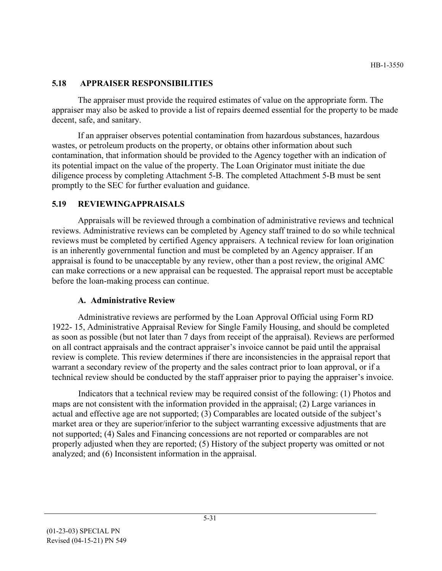## **5.18 APPRAISER RESPONSIBILITIES**

The appraiser must provide the required estimates of value on the appropriate form. The appraiser may also be asked to provide a list of repairs deemed essential for the property to be made decent, safe, and sanitary.

If an appraiser observes potential contamination from hazardous substances, hazardous wastes, or petroleum products on the property, or obtains other information about such contamination, that information should be provided to the Agency together with an indication of its potential impact on the value of the property. The Loan Originator must initiate the due diligence process by completing Attachment 5-B. The completed Attachment 5-B must be sent promptly to the SEC for further evaluation and guidance.

## **5.19 REVIEWINGAPPRAISALS**

Appraisals will be reviewed through a combination of administrative reviews and technical reviews. Administrative reviews can be completed by Agency staff trained to do so while technical reviews must be completed by certified Agency appraisers. A technical review for loan origination is an inherently governmental function and must be completed by an Agency appraiser. If an appraisal is found to be unacceptable by any review, other than a post review, the original AMC can make corrections or a new appraisal can be requested. The appraisal report must be acceptable before the loan-making process can continue.

# **A. Administrative Review**

Administrative reviews are performed by the Loan Approval Official using Form RD 1922- 15, Administrative Appraisal Review for Single Family Housing, and should be completed as soon as possible (but not later than 7 days from receipt of the appraisal). Reviews are performed on all contract appraisals and the contract appraiser's invoice cannot be paid until the appraisal review is complete. This review determines if there are inconsistencies in the appraisal report that warrant a secondary review of the property and the sales contract prior to loan approval, or if a technical review should be conducted by the staff appraiser prior to paying the appraiser's invoice.

Indicators that a technical review may be required consist of the following: (1) Photos and maps are not consistent with the information provided in the appraisal; (2) Large variances in actual and effective age are not supported; (3) Comparables are located outside of the subject's market area or they are superior/inferior to the subject warranting excessive adjustments that are not supported; (4) Sales and Financing concessions are not reported or comparables are not properly adjusted when they are reported; (5) History of the subject property was omitted or not analyzed; and (6) Inconsistent information in the appraisal.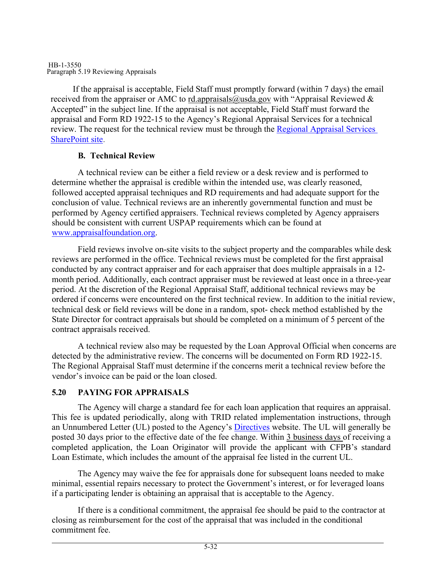#### HB-1-3550 Paragraph 5.19 Reviewing Appraisals

If the appraisal is acceptable, Field Staff must promptly forward (within 7 days) the email received from the appraiser or AMC to [rd.appraisals@usda.gov w](mailto:rd.appraisals@usda.gov)ith "Appraisal Reviewed  $\&$ Accepted" in the subject line. If the appraisal is not acceptable, Field Staff must forward the appraisal and Form RD 1922-15 to the Agency's Regional Appraisal Services for a technical review. The request for the technical review must be through the [Regional Appraisal Services](https://usdagcc.sharepoint.com/sites/rd_rhub/pss/assign/SitePages/Home.aspx)  [SharePoint site.](https://usdagcc.sharepoint.com/sites/rd_rhub/pss/assign/SitePages/Home.aspx)

## **B. Technical Review**

A technical review can be either a field review or a desk review and is performed to determine whether the appraisal is credible within the intended use, was clearly reasoned, followed accepted appraisal techniques and RD requirements and had adequate support for the conclusion of value. Technical reviews are an inherently governmental function and must be performed by Agency certified appraisers. Technical reviews completed by Agency appraisers should be consistent with current USPAP requirements which can be found at [www.appraisalfoundation.org.](http://www.appraisalfoundation.org/)

Field reviews involve on-site visits to the subject property and the comparables while desk reviews are performed in the office. Technical reviews must be completed for the first appraisal conducted by any contract appraiser and for each appraiser that does multiple appraisals in a 12 month period. Additionally, each contract appraiser must be reviewed at least once in a three-year period. At the discretion of the Regional Appraisal Staff, additional technical reviews may be ordered if concerns were encountered on the first technical review. In addition to the initial review, technical desk or field reviews will be done in a random, spot- check method established by the State Director for contract appraisals but should be completed on a minimum of 5 percent of the contract appraisals received.

A technical review also may be requested by the Loan Approval Official when concerns are detected by the administrative review. The concerns will be documented on Form RD 1922-15. The Regional Appraisal Staff must determine if the concerns merit a technical review before the vendor's invoice can be paid or the loan closed.

# **5.20 PAYING FOR APPRAISALS**

The Agency will charge a standard fee for each loan application that requires an appraisal. This fee is updated periodically, along with TRID related implementation instructions, through an Unnumbered Letter (UL) posted to the Agency's [Directives](https://www.rd.usda.gov/resources/directives) website. The UL will generally be posted 30 days prior to the effective date of the fee change. Within 3 business days of receiving a completed application, the Loan Originator will provide the applicant with CFPB's standard Loan Estimate, which includes the amount of the appraisal fee listed in the current UL.

The Agency may waive the fee for appraisals done for subsequent loans needed to make minimal, essential repairs necessary to protect the Government's interest, or for leveraged loans if a participating lender is obtaining an appraisal that is acceptable to the Agency.

If there is a conditional commitment, the appraisal fee should be paid to the contractor at closing as reimbursement for the cost of the appraisal that was included in the conditional commitment fee.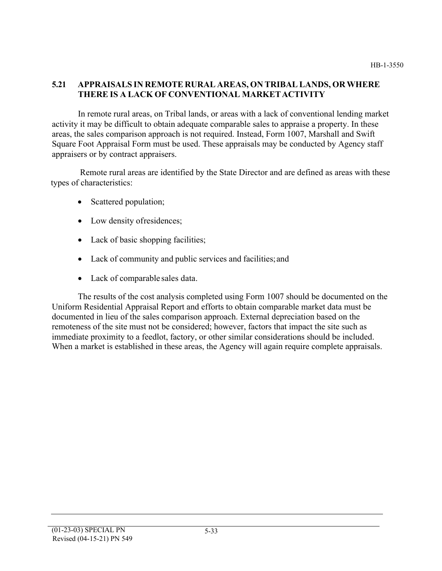# **5.21 APPRAISALS IN REMOTE RURAL AREAS, ON TRIBAL LANDS, OR WHERE THERE IS A LACK OF CONVENTIONAL MARKETACTIVITY**

In remote rural areas, on Tribal lands, or areas with a lack of conventional lending market activity it may be difficult to obtain adequate comparable sales to appraise a property. In these areas, the sales comparison approach is not required. Instead, Form 1007, Marshall and Swift Square Foot Appraisal Form must be used. These appraisals may be conducted by Agency staff appraisers or by contract appraisers.

Remote rural areas are identified by the State Director and are defined as areas with these types of characteristics:

- Scattered population;
- Low density of residences;
- Lack of basic shopping facilities;
- Lack of community and public services and facilities; and
- Lack of comparable sales data.

The results of the cost analysis completed using Form 1007 should be documented on the Uniform Residential Appraisal Report and efforts to obtain comparable market data must be documented in lieu of the sales comparison approach. External depreciation based on the remoteness of the site must not be considered; however, factors that impact the site such as immediate proximity to a feedlot, factory, or other similar considerations should be included. When a market is established in these areas, the Agency will again require complete appraisals.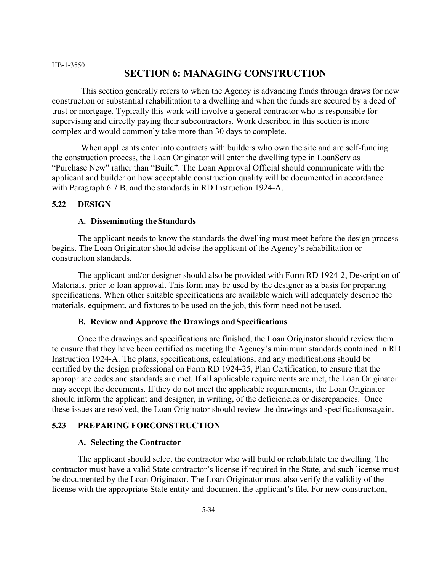# **SECTION 6: MANAGING CONSTRUCTION**

This section generally refers to when the Agency is advancing funds through draws for new construction or substantial rehabilitation to a dwelling and when the funds are secured by a deed of trust or mortgage. Typically this work will involve a general contractor who is responsible for supervising and directly paying their subcontractors. Work described in this section is more complex and would commonly take more than 30 days to complete.

When applicants enter into contracts with builders who own the site and are self-funding the construction process, the Loan Originator will enter the dwelling type in LoanServ as "Purchase New" rather than "Build". The Loan Approval Official should communicate with the applicant and builder on how acceptable construction quality will be documented in accordance with Paragraph 6.7 B. and the standards in RD Instruction 1924-A.

#### **5.22 DESIGN**

#### **A. Disseminating theStandards**

The applicant needs to know the standards the dwelling must meet before the design process begins. The Loan Originator should advise the applicant of the Agency's rehabilitation or construction standards.

The applicant and/or designer should also be provided with Form RD 1924-2, Description of Materials, prior to loan approval. This form may be used by the designer as a basis for preparing specifications. When other suitable specifications are available which will adequately describe the materials, equipment, and fixtures to be used on the job, this form need not be used.

#### **B. Review and Approve the Drawings andSpecifications**

Once the drawings and specifications are finished, the Loan Originator should review them to ensure that they have been certified as meeting the Agency's minimum standards contained in RD Instruction 1924-A. The plans, specifications, calculations, and any modifications should be certified by the design professional on Form RD 1924-25, Plan Certification, to ensure that the appropriate codes and standards are met. If all applicable requirements are met, the Loan Originator may accept the documents. If they do not meet the applicable requirements, the Loan Originator should inform the applicant and designer, in writing, of the deficiencies or discrepancies. Once these issues are resolved, the Loan Originator should review the drawings and specifications again.

#### **5.23 PREPARING FORCONSTRUCTION**

#### **A. Selecting the Contractor**

The applicant should select the contractor who will build or rehabilitate the dwelling. The contractor must have a valid State contractor's license if required in the State, and such license must be documented by the Loan Originator. The Loan Originator must also verify the validity of the license with the appropriate State entity and document the applicant's file. For new construction,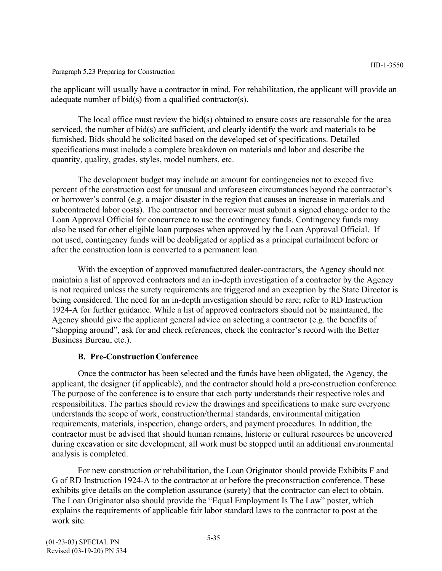Paragraph 5.23 Preparing for Construction

the applicant will usually have a contractor in mind. For rehabilitation, the applicant will provide an adequate number of bid(s) from a qualified contractor(s).

The local office must review the bid(s) obtained to ensure costs are reasonable for the area serviced, the number of bid(s) are sufficient, and clearly identify the work and materials to be furnished. Bids should be solicited based on the developed set of specifications. Detailed specifications must include a complete breakdown on materials and labor and describe the quantity, quality, grades, styles, model numbers, etc.

The development budget may include an amount for contingencies not to exceed five percent of the construction cost for unusual and unforeseen circumstances beyond the contractor's or borrower's control (e.g. a major disaster in the region that causes an increase in materials and subcontracted labor costs). The contractor and borrower must submit a signed change order to the Loan Approval Official for concurrence to use the contingency funds. Contingency funds may also be used for other eligible loan purposes when approved by the Loan Approval Official. If not used, contingency funds will be deobligated or applied as a principal curtailment before or after the construction loan is converted to a permanent loan.

With the exception of approved manufactured dealer-contractors, the Agency should not maintain a list of approved contractors and an in-depth investigation of a contractor by the Agency is not required unless the surety requirements are triggered and an exception by the State Director is being considered. The need for an in-depth investigation should be rare; refer to RD Instruction 1924-A for further guidance. While a list of approved contractors should not be maintained, the Agency should give the applicant general advice on selecting a contractor (e.g. the benefits of "shopping around", ask for and check references, check the contractor's record with the Better Business Bureau, etc.).

# **B. Pre-ConstructionConference**

Once the contractor has been selected and the funds have been obligated, the Agency, the applicant, the designer (if applicable), and the contractor should hold a pre-construction conference. The purpose of the conference is to ensure that each party understands their respective roles and responsibilities. The parties should review the drawings and specifications to make sure everyone understands the scope of work, construction/thermal standards, environmental mitigation requirements, materials, inspection, change orders, and payment procedures. In addition, the contractor must be advised that should human remains, historic or cultural resources be uncovered during excavation or site development, all work must be stopped until an additional environmental analysis is completed.

For new construction or rehabilitation, the Loan Originator should provide Exhibits F and G of RD Instruction 1924-A to the contractor at or before the preconstruction conference. These exhibits give details on the completion assurance (surety) that the contractor can elect to obtain. The Loan Originator also should provide the "Equal Employment Is The Law" poster, which explains the requirements of applicable fair labor standard laws to the contractor to post at the work site.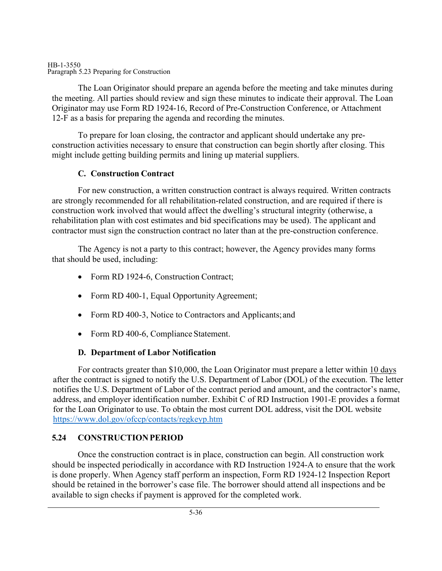#### HB-1-3550 Paragraph 5.23 Preparing for Construction

The Loan Originator should prepare an agenda before the meeting and take minutes during the meeting. All parties should review and sign these minutes to indicate their approval. The Loan Originator may use Form RD 1924-16, Record of Pre-Construction Conference, or Attachment 12-F as a basis for preparing the agenda and recording the minutes.

To prepare for loan closing, the contractor and applicant should undertake any preconstruction activities necessary to ensure that construction can begin shortly after closing. This might include getting building permits and lining up material suppliers.

# **C. Construction Contract**

For new construction, a written construction contract is always required. Written contracts are strongly recommended for all rehabilitation-related construction, and are required if there is construction work involved that would affect the dwelling's structural integrity (otherwise, a rehabilitation plan with cost estimates and bid specifications may be used). The applicant and contractor must sign the construction contract no later than at the pre-construction conference.

The Agency is not a party to this contract; however, the Agency provides many forms that should be used, including:

- Form RD 1924-6, Construction Contract;
- Form RD 400-1, Equal Opportunity Agreement;
- Form RD 400-3, Notice to Contractors and Applicants; and
- Form RD 400-6, Compliance Statement.

# **D. Department of Labor Notification**

For contracts greater than \$10,000, the Loan Originator must prepare a letter within 10 days after the contract is signed to notify the U.S. Department of Labor (DOL) of the execution. The letter notifies the U.S. Department of Labor of the contract period and amount, and the contractor's name, address, and employer identification number. Exhibit C of RD Instruction 1901-E provides a format for the Loan Originator to use. To obtain the most current DOL address, visit the DOL website [https://www.dol.gov/ofccp/contacts/regkeyp.htm](http://www.dol.gov/ofccp/contacts/regkeyp.htm)

# **5.24 CONSTRUCTIONPERIOD**

Once the construction contract is in place, construction can begin. All construction work should be inspected periodically in accordance with RD Instruction 1924-A to ensure that the work is done properly. When Agency staff perform an inspection, Form RD 1924-12 Inspection Report should be retained in the borrower's case file. The borrower should attend all inspections and be available to sign checks if payment is approved for the completed work.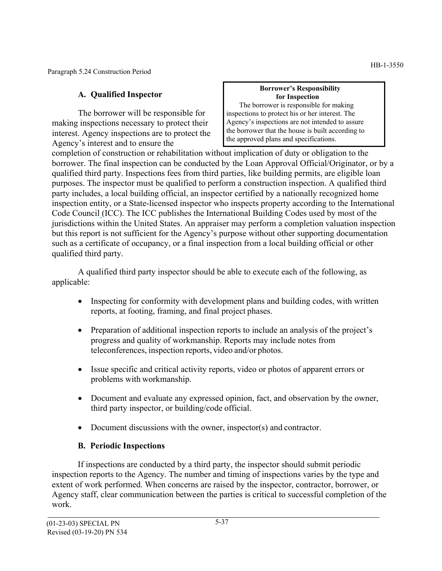Paragraph 5.24 Construction Period

# **A. Qualified Inspector**

The borrower will be responsible for making inspections necessary to protect their interest. Agency inspections are to protect the Agency's interest and to ensure the

#### **Borrower's Responsibility for Inspection**

The borrower is responsible for making inspections to protect his or her interest. The Agency's inspections are not intended to assure the borrower that the house is built according to the approved plans and specifications.

completion of construction or rehabilitation without implication of duty or obligation to the borrower. The final inspection can be conducted by the Loan Approval Official/Originator, or by a qualified third party. Inspections fees from third parties, like building permits, are eligible loan purposes. The inspector must be qualified to perform a construction inspection. A qualified third party includes, a local building official, an inspector certified by a nationally recognized home inspection entity, or a State-licensed inspector who inspects property according to the International Code Council (ICC). The ICC publishes the International Building Codes used by most of the jurisdictions within the United States. An appraiser may perform a completion valuation inspection but this report is not sufficient for the Agency's purpose without other supporting documentation such as a certificate of occupancy, or a final inspection from a local building official or other qualified third party.

A qualified third party inspector should be able to execute each of the following, as applicable:

- Inspecting for conformity with development plans and building codes, with written reports, at footing, framing, and final project phases.
- Preparation of additional inspection reports to include an analysis of the project's progress and quality of workmanship. Reports may include notes from teleconferences, inspection reports, video and/or photos.
- Issue specific and critical activity reports, video or photos of apparent errors or problems with workmanship.
- Document and evaluate any expressed opinion, fact, and observation by the owner, third party inspector, or building/code official.
- Document discussions with the owner, inspector(s) and contractor.

# **B. Periodic Inspections**

If inspections are conducted by a third party, the inspector should submit periodic inspection reports to the Agency. The number and timing of inspections varies by the type and extent of work performed. When concerns are raised by the inspector, contractor, borrower, or Agency staff, clear communication between the parties is critical to successful completion of the work.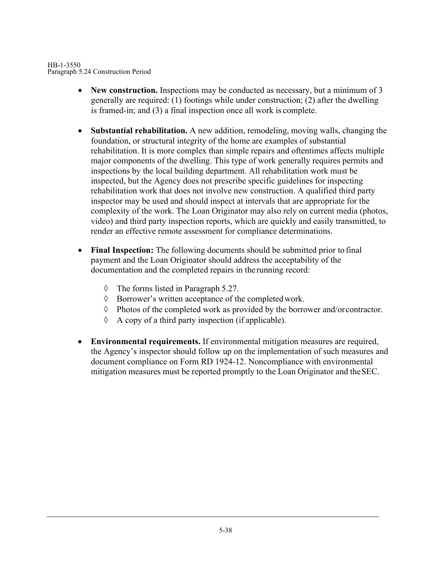HB-1-3550 Paragraph 5.24 Construction Period

- New construction. Inspections may be conducted as necessary, but a minimum of 3 generally are required: (1) footings while under construction; (2) after the dwelling is framed-in; and (3) a final inspection once all work is complete.
- **Substantial rehabilitation.** A new addition, remodeling, moving walls, changing the foundation, or structural integrity of the home are examples of substantial rehabilitation. It is more complex than simple repairs and oftentimes affects multiple major components of the dwelling. This type of work generally requires permits and inspections by the local building department. All rehabilitation work must be inspected, but the Agency does not prescribe specific guidelines for inspecting rehabilitation work that does not involve new construction. A qualified third party inspector may be used and should inspect at intervals that are appropriate for the complexity of the work. The Loan Originator may also rely on current media (photos, video) and third party inspection reports, which are quickly and easily transmitted, to render an effective remote assessment for compliance determinations.
- **Final Inspection:** The following documents should be submitted prior to final payment and the Loan Originator should address the acceptability of the documentation and the completed repairs in the running record:
	- ◊ The forms listed in Paragraph 5.27.
	- ◊ Borrower's written acceptance of the completed work.
	- ◊ Photos of the completed work as provided by the borrower and/or contractor.
	- ◊ A copy of a third party inspection (if applicable).
- **Environmental requirements.** If environmental mitigation measures are required, the Agency's inspector should follow up on the implementation of such measures and document compliance on Form RD 1924-12. Noncompliance with environmental mitigation measures must be reported promptly to the Loan Originator and the SEC.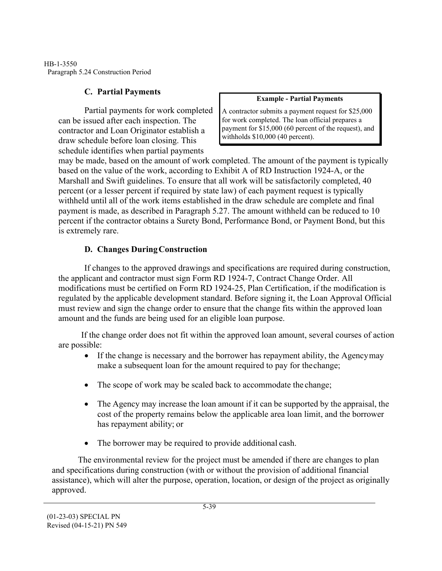HB-1-3550 Paragraph 5.24 Construction Period

# **C. Partial Payments**

Partial payments for work completed can be issued after each inspection. The contractor and Loan Originator establish a draw schedule before loan closing. This schedule identifies when partial payments

#### **Example - Partial Payments**

A contractor submits a payment request for \$25,000 for work completed. The loan official prepares a payment for \$15,000 (60 percent of the request), and withholds \$10,000 (40 percent).

may be made, based on the amount of work completed. The amount of the payment is typically based on the value of the work, according to Exhibit A of RD Instruction 1924-A, or the Marshall and Swift guidelines. To ensure that all work will be satisfactorily completed, 40 percent (or a lesser percent if required by state law) of each payment request is typically withheld until all of the work items established in the draw schedule are complete and final payment is made, as described in Paragraph 5.27. The amount withheld can be reduced to 10 percent if the contractor obtains a Surety Bond, Performance Bond, or Payment Bond, but this is extremely rare.

# **D. Changes DuringConstruction**

If changes to the approved drawings and specifications are required during construction, the applicant and contractor must sign Form RD 1924-7, Contract Change Order. All modifications must be certified on Form RD 1924-25, Plan Certification, if the modification is regulated by the applicable development standard. Before signing it, the Loan Approval Official must review and sign the change order to ensure that the change fits within the approved loan amount and the funds are being used for an eligible loan purpose.

If the change order does not fit within the approved loan amount, several courses of action are possible:

- If the change is necessary and the borrower has repayment ability, the Agency may make a subsequent loan for the amount required to pay for the change;
- The scope of work may be scaled back to accommodate the change;
- The Agency may increase the loan amount if it can be supported by the appraisal, the cost of the property remains below the applicable area loan limit, and the borrower has repayment ability; or
- The borrower may be required to provide additional cash.

The environmental review for the project must be amended if there are changes to plan and specifications during construction (with or without the provision of additional financial assistance), which will alter the purpose, operation, location, or design of the project as originally approved.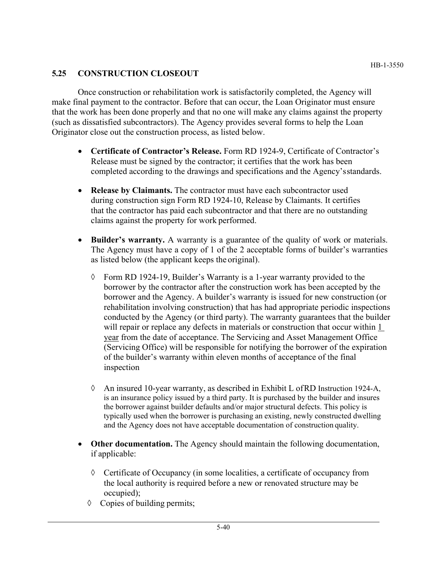# **5.25 CONSTRUCTION CLOSEOUT**

Once construction or rehabilitation work is satisfactorily completed, the Agency will make final payment to the contractor. Before that can occur, the Loan Originator must ensure that the work has been done properly and that no one will make any claims against the property (such as dissatisfied subcontractors). The Agency provides several forms to help the Loan Originator close out the construction process, as listed below.

- **Certificate of Contractor's Release.** Form RD 1924-9, Certificate of Contractor's Release must be signed by the contractor; it certifies that the work has been completed according to the drawings and specifications and the Agency's standards.
- **Release by Claimants.** The contractor must have each subcontractor used during construction sign Form RD 1924-10, Release by Claimants. It certifies that the contractor has paid each subcontractor and that there are no outstanding claims against the property for work performed.
- **Builder's warranty.** A warranty is a guarantee of the quality of work or materials. The Agency must have a copy of 1 of the 2 acceptable forms of builder's warranties as listed below (the applicant keeps the original).
	- ◊ Form RD 1924-19, Builder's Warranty is a 1-year warranty provided to the borrower by the contractor after the construction work has been accepted by the borrower and the Agency. A builder's warranty is issued for new construction (or rehabilitation involving construction) that has had appropriate periodic inspections conducted by the Agency (or third party). The warranty guarantees that the builder will repair or replace any defects in materials or construction that occur within 1 year from the date of acceptance. The Servicing and Asset Management Office (Servicing Office) will be responsible for notifying the borrower of the expiration of the builder's warranty within eleven months of acceptance of the final inspection
	- $\Diamond$  An insured 10-year warranty, as described in Exhibit L of RD Instruction 1924-A, is an insurance policy issued by a third party. It is purchased by the builder and insures the borrower against builder defaults and/or major structural defects. This policy is typically used when the borrower is purchasing an existing, newly constructed dwelling and the Agency does not have acceptable documentation of construction quality.
- **Other documentation.** The Agency should maintain the following documentation, if applicable:
	- $\Diamond$  Certificate of Occupancy (in some localities, a certificate of occupancy from the local authority is required before a new or renovated structure may be occupied);
	- ◊ Copies of building permits;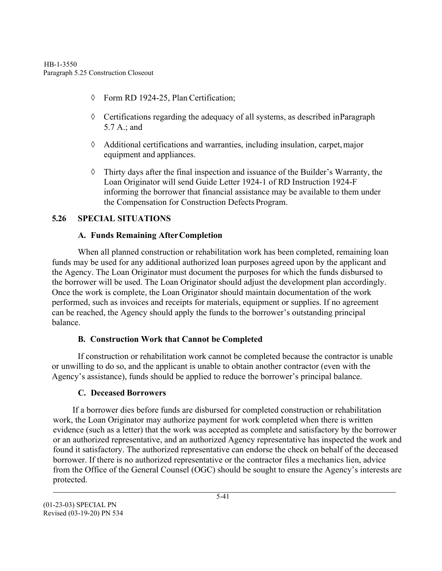- ◊ Form RD 1924-25, Plan Certification;
- $\Diamond$  Certifications regarding the adequacy of all systems, as described in Paragraph 5.7 A.; and
- $\Diamond$  Additional certifications and warranties, including insulation, carpet, major equipment and appliances.
- ◊ Thirty days after the final inspection and issuance of the Builder's Warranty, the Loan Originator will send Guide Letter 1924-1 of RD Instruction 1924-F informing the borrower that financial assistance may be available to them under the Compensation for Construction Defects Program.

## **5.26 SPECIAL SITUATIONS**

## **A. Funds Remaining AfterCompletion**

When all planned construction or rehabilitation work has been completed, remaining loan funds may be used for any additional authorized loan purposes agreed upon by the applicant and the Agency. The Loan Originator must document the purposes for which the funds disbursed to the borrower will be used. The Loan Originator should adjust the development plan accordingly. Once the work is complete, the Loan Originator should maintain documentation of the work performed, such as invoices and receipts for materials, equipment or supplies. If no agreement can be reached, the Agency should apply the funds to the borrower's outstanding principal balance.

# **B. Construction Work that Cannot be Completed**

If construction or rehabilitation work cannot be completed because the contractor is unable or unwilling to do so, and the applicant is unable to obtain another contractor (even with the Agency's assistance), funds should be applied to reduce the borrower's principal balance.

# **C. Deceased Borrowers**

If a borrower dies before funds are disbursed for completed construction or rehabilitation work, the Loan Originator may authorize payment for work completed when there is written evidence (such as a letter) that the work was accepted as complete and satisfactory by the borrower or an authorized representative, and an authorized Agency representative has inspected the work and found it satisfactory. The authorized representative can endorse the check on behalf of the deceased borrower. If there is no authorized representative or the contractor files a mechanics lien, advice from the Office of the General Counsel (OGC) should be sought to ensure the Agency's interests are protected.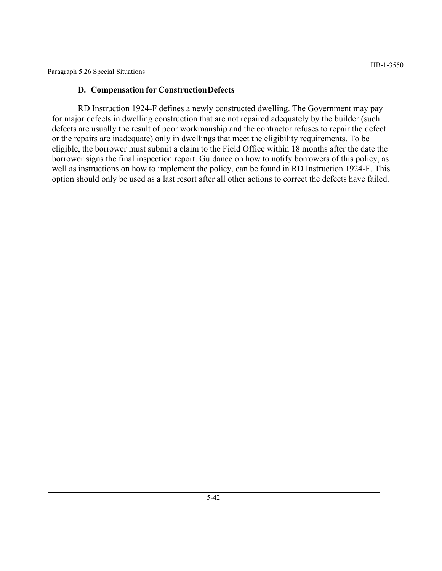Paragraph 5.26 Special Situations

#### **D. Compensation for ConstructionDefects**

RD Instruction 1924-F defines a newly constructed dwelling. The Government may pay for major defects in dwelling construction that are not repaired adequately by the builder (such defects are usually the result of poor workmanship and the contractor refuses to repair the defect or the repairs are inadequate) only in dwellings that meet the eligibility requirements. To be eligible, the borrower must submit a claim to the Field Office within 18 months after the date the borrower signs the final inspection report. Guidance on how to notify borrowers of this policy, as well as instructions on how to implement the policy, can be found in RD Instruction 1924-F. This option should only be used as a last resort after all other actions to correct the defects have failed.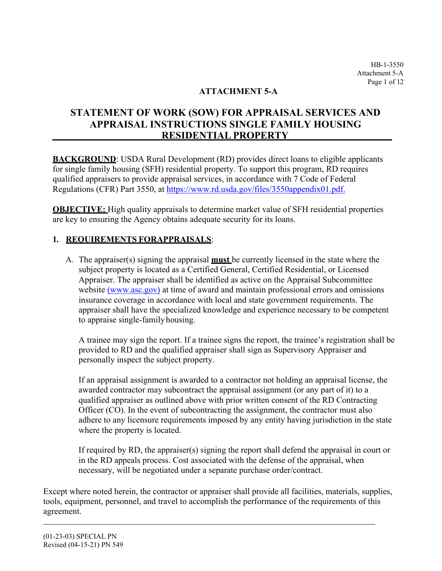HB-1-3550 Attachment 5-A Page 1 of 12

# **ATTACHMENT 5-A**

# **STATEMENT OF WORK (SOW) FOR APPRAISAL SERVICES AND APPRAISAL INSTRUCTIONS SINGLE FAMILY HOUSING RESIDENTIAL PROPERTY**

**BACKGROUND**: USDA Rural Development (RD) provides direct loans to eligible applicants for single family housing (SFH) residential property. To support this program, RD requires qualified appraisers to provide appraisal services, in accordance with 7 Code of Federal Regulations (CFR) Part 3550, at [https://www.rd.usda.gov/files/3550appendix01.pdf.](http://www.rd.usda.gov/files/3550appendix01.pdf)

**OBJECTIVE:** High quality appraisals to determine market value of SFH residential properties are key to ensuring the Agency obtains adequate security for its loans.

## **1. REQUIREMENTS FORAPPRAISALS**:

A. The appraiser(s) signing the appraisal **must** be currently licensed in the state where the subject property is located as a Certified General, Certified Residential, or Licensed Appraiser. The appraiser shall be identified as active on the Appraisal Subcommittee website [\(www.asc.gov\)](https://www.asc.gov/Home.aspx) at time of award and maintain professional errors and omissions insurance coverage in accordance with local and state government requirements. The appraiser shall have the specialized knowledge and experience necessary to be competent to appraise single-family housing.

A trainee may sign the report. If a trainee signs the report, the trainee's registration shall be provided to RD and the qualified appraiser shall sign as Supervisory Appraiser and personally inspect the subject property.

If an appraisal assignment is awarded to a contractor not holding an appraisal license, the awarded contractor may subcontract the appraisal assignment (or any part of it) to a qualified appraiser as outlined above with prior written consent of the RD Contracting Officer (CO). In the event of subcontracting the assignment, the contractor must also adhere to any licensure requirements imposed by any entity having jurisdiction in the state where the property is located.

If required by RD, the appraiser(s) signing the report shall defend the appraisal in court or in the RD appeals process. Cost associated with the defense of the appraisal, when necessary, will be negotiated under a separate purchase order/contract.

Except where noted herein, the contractor or appraiser shall provide all facilities, materials, supplies, tools, equipment, personnel, and travel to accomplish the performance of the requirements of this agreement.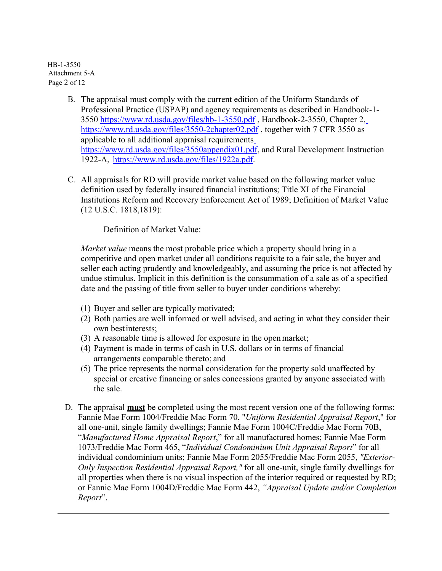HB-1-3550 Attachment 5-A Page 2 of 12

- 3550 [https://www.rd.usd](http://www.rd.usda.gov/files/hb-1-3550.pdf)a[.gov/files/hb-1-3550.pdf ,](http://www.rd.usda.gov/files/hb-1-3550.pdf) Handbook-2-3550[,](http://www.rd.usda.gov/files/3550-2chapter02.pdf) Chapter 2, B. The appraisal must comply with the current edition of the Uniform Standards of Professional Practice (USPAP) and agency requirements as described in Handbook-1 https://www.rd.usda.gov/files/3550-2chapter02.pdf, together with 7 CFR 3550 as applicable to all additional appraisal requirements [https://www.rd.usda.gov/files/3550appendix01.pdf,](http://www.rd.usda.gov/files/3550appendix01.pdf) and Rural Development Instruction 1922-A[, https://www.rd.usda.gov/files/1922a.pdf.](http://www.rd.usda.gov/files/1922a.pdf)
- C. All appraisals for RD will provide market value based on the following market value definition used by federally insured financial institutions; Title XI of the Financial Institutions Reform and Recovery Enforcement Act of 1989; Definition of Market Value (12 U.S.C. 1818,1819):

Definition of Market Value:

*Market value* means the most probable price which a property should bring in a competitive and open market under all conditions requisite to a fair sale, the buyer and seller each acting prudently and knowledgeably, and assuming the price is not affected by undue stimulus. Implicit in this definition is the consummation of a sale as of a specified date and the passing of title from seller to buyer under conditions whereby:

- (1) Buyer and seller are typically motivated;
- (2) Both parties are well informed or well advised, and acting in what they consider their own best interests;
- (3) A reasonable time is allowed for exposure in the openmarket;
- (4) Payment is made in terms of cash in U.S. dollars or in terms of financial arrangements comparable thereto; and
- (5) The price represents the normal consideration for the property sold unaffected by special or creative financing or sales concessions granted by anyone associated with the sale.
- D. The appraisal **must** be completed using the most recent version one of the following forms: Fannie Mae Form 1004/Freddie Mac Form 70, "*Uniform Residential Appraisal Report*," for all one-unit, single family dwellings; Fannie Mae Form 1004C/Freddie Mac Form 70B, "*Manufactured Home Appraisal Report*," for all manufactured homes; Fannie Mae Form 1073/Freddie Mac Form 465, "*Individual Condominium Unit Appraisal Report*" for all individual condominium units; Fannie Mae Form 2055/Freddie Mac Form 2055, *"Exterior-Only Inspection Residential Appraisal Report,"* for all one-unit, single family dwellings for all properties when there is no visual inspection of the interior required or requested by RD; or Fannie Mae Form 1004D/Freddie Mac Form 442, *"Appraisal Update and/or Completion Report*".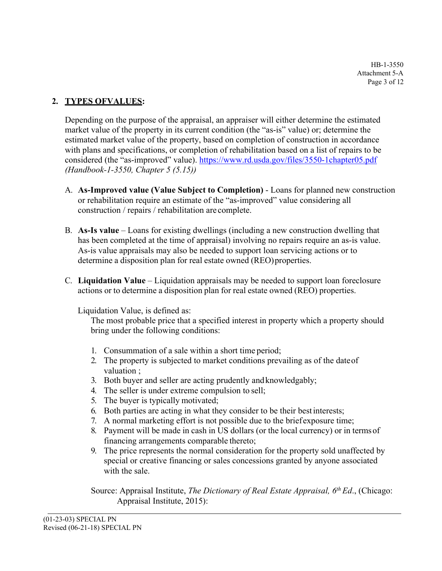HB-1-3550 Attachment 5-A Page 3 of 12

# **2. TYPES OFVALUES:**

Depending on the purpose of the appraisal, an appraiser will either determine the estimated market value of the property in its current condition (the "as-is" value) or; determine the estimated market value of the property, based on completion of construction in accordance with plans and specifications, or completion of rehabilitation based on a list of repairs to be considered (the "as-improved" value). [https://www.rd.usda.gov/files/3550-1chapter05.pdf](http://www.rd.usda.gov/files/3550-1chapter05.pdf) *(Handbook-1-3550, Chapter 5 (5.15))* 

- A. **As-Improved value (Value Subject to Completion)**  Loans for planned new construction or rehabilitation require an estimate of the "as-improved" value considering all construction / repairs / rehabilitation are complete.
- B. **As-Is value**  Loans for existing dwellings (including a new construction dwelling that has been completed at the time of appraisal) involving no repairs require an as-is value. As-is value appraisals may also be needed to support loan servicing actions or to determine a disposition plan for real estate owned (REO)properties.
- C. **Liquidation Value**  Liquidation appraisals may be needed to support loan foreclosure actions or to determine a disposition plan for real estate owned (REO) properties.

#### Liquidation Value, is defined as:

The most probable price that a specified interest in property which a property should bring under the following conditions:

- 1. Consummation of a sale within a short time period;
- 2. The property is subjected to market conditions prevailing as of the date of valuation ;
- 3. Both buyer and seller are acting prudently and knowledgably;
- 4. The seller is under extreme compulsion to sell;
- 5. The buyer is typically motivated;
- 6. Both parties are acting in what they consider to be their bestinterests;
- 7. A normal marketing effort is not possible due to the brief exposure time;
- 8. Payment will be made in cash in US dollars (or the local currency) or in terms of financing arrangements comparable thereto;
- 9. The price represents the normal consideration for the property sold unaffected by special or creative financing or sales concessions granted by anyone associated with the sale.

Source: Appraisal Institute, *The Dictionary of Real Estate Appraisal*, 6<sup>th</sup> Ed., (Chicago: Appraisal Institute, 2015):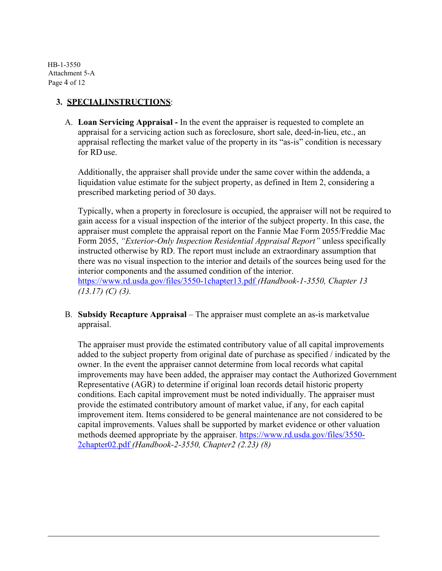HB-1-3550 Attachment 5-A Page 4 of 12

### **3. SPECIALINSTRUCTIONS**:

A. **Loan Servicing Appraisal -** In the event the appraiser is requested to complete an appraisal for a servicing action such as foreclosure, short sale, deed-in-lieu, etc., an appraisal reflecting the market value of the property in its "as-is" condition is necessary for RDuse.

Additionally, the appraiser shall provide under the same cover within the addenda, a liquidation value estimate for the subject property, as defined in Item 2, considering a prescribed marketing period of 30 days.

Typically, when a property in foreclosure is occupied, the appraiser will not be required to gain access for a visual inspection of the interior of the subject property. In this case, the appraiser must complete the appraisal report on the Fannie Mae Form 2055/Freddie Mac Form 2055, *"Exterior-Only Inspection Residential Appraisal Report"* unless specifically instructed otherwise by RD. The report must include an extraordinary assumption that there was no visual inspection to the interior and details of the sources being used for the interior components and the assumed condition of the interior.

[https://www.rd.usda.gov/files/3550-1chapter13.pdf](http://www.rd.usda.gov/files/3550-1chapter13.pdf) *(Handbook-1-3550, Chapter 13 (13.17) (C) (3).*

B. **Subsidy Recapture Appraisal** – The appraiser must complete an as-is market value appraisal.

The appraiser must provide the estimated contributory value of all capital improvements added to the subject property from original date of purchase as specified / indicated by the owner. In the event the appraiser cannot determine from local records what capital improvements may have been added, the appraiser may contact the Authorized Government Representative (AGR) to determine if original loan records detail historic property conditions. Each capital improvement must be noted individually. The appraiser must provide the estimated contributory amount of market value, if any, for each capital improvement item. Items considered to be general maintenance are not considered to be capital improvements. Values shall be supported by market evidence or other valuation methods deemed appropriate by the appraiser. [https://www.rd.usda.gov/files/3550-](http://www.rd.usda.gov/files/3550-) 2chapter02.pdf *(Handbook-2-3550, Chapter2 (2.23) (8)*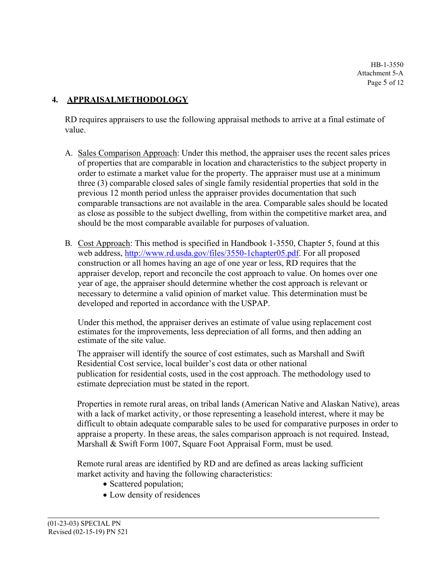HB-1-3550 Attachment 5-A Page 5 of 12

## **4. APPRAISALMETHODOLOGY**

RD requires appraisers to use the following appraisal methods to arrive at a final estimate of value.

- A. Sales Comparison Approach: Under this method, the appraiser uses the recent sales prices of properties that are comparable in location and characteristics to the subject property in order to estimate a market value for the property. The appraiser must use at a minimum three (3) comparable closed sales of single family residential properties that sold in the previous 12 month period unless the appraiser provides documentation that such comparable transactions are not available in the area. Comparable sales should be located as close as possible to the subject dwelling, from within the competitive market area, and should be the most comparable available for purposes of valuation.
- B. Cost Approach: This method is specified in Handbook 1-3550, Chapter 5, found at this web address, [http://www.rd.usda.gov/files/3550-1chapter05.pdf.](http://www.rd.usda.gov/files/3550-1chapter05.pdf) For all proposed construction or all homes having an age of one year or less, RD requires that the appraiser develop, report and reconcile the cost approach to value. On homes over one year of age, the appraiser should determine whether the cost approach is relevant or necessary to determine a valid opinion of market value. This determination must be developed and reported in accordance with the USPAP.

Under this method, the appraiser derives an estimate of value using replacement cost estimates for the improvements, less depreciation of all forms, and then adding an estimate of the site value.

The appraiser will identify the source of cost estimates, such as Marshall and Swift Residential Cost service, local builder's cost data or other national publication for residential costs, used in the cost approach. The methodology used to estimate depreciation must be stated in the report.

Properties in remote rural areas, on tribal lands (American Native and Alaskan Native), areas with a lack of market activity, or those representing a leasehold interest, where it may be difficult to obtain adequate comparable sales to be used for comparative purposes in order to appraise a property. In these areas, the sales comparison approach is not required. Instead, Marshall & Swift Form 1007, Square Foot Appraisal Form, must be used.

Remote rural areas are identified by RD and are defined as areas lacking sufficient market activity and having the following characteristics:

- Scattered population;
- Low density of residences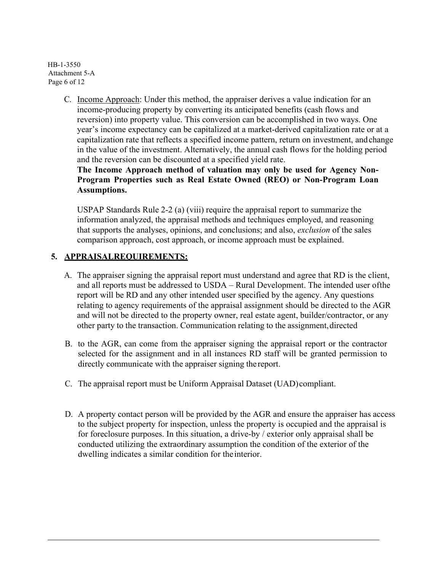HB-1-3550 Attachment 5-A Page 6 of 12

> C. Income Approach: Under this method, the appraiser derives a value indication for an income-producing property by converting its anticipated benefits (cash flows and reversion) into property value. This conversion can be accomplished in two ways. One year's income expectancy can be capitalized at a market-derived capitalization rate or at a capitalization rate that reflects a specified income pattern, return on investment, andchange in the value of the investment. Alternatively, the annual cash flows for the holding period and the reversion can be discounted at a specified yield rate.

**The Income Approach method of valuation may only be used for Agency Non-Program Properties such as Real Estate Owned (REO) or Non-Program Loan Assumptions.**

USPAP Standards Rule 2-2 (a) (viii) require the appraisal report to summarize the information analyzed, the appraisal methods and techniques employed, and reasoning that supports the analyses, opinions, and conclusions; and also, *exclusion* of the sales comparison approach, cost approach, or income approach must be explained.

## **5. APPRAISALREQUIREMENTS:**

- A. The appraiser signing the appraisal report must understand and agree that RD is the client, and all reports must be addressed to USDA – Rural Development. The intended user of the report will be RD and any other intended user specified by the agency. Any questions relating to agency requirements of the appraisal assignment should be directed to the AGR and will not be directed to the property owner, real estate agent, builder/contractor, or any other party to the transaction. Communication relating to the assignment,directed
- B. to the AGR, can come from the appraiser signing the appraisal report or the contractor selected for the assignment and in all instances RD staff will be granted permission to directly communicate with the appraiser signing thereport.
- C. The appraisal report must be Uniform Appraisal Dataset (UAD)compliant.
- D. A property contact person will be provided by the AGR and ensure the appraiser has access to the subject property for inspection, unless the property is occupied and the appraisal is for foreclosure purposes. In this situation, a drive-by / exterior only appraisal shall be conducted utilizing the extraordinary assumption the condition of the exterior of the dwelling indicates a similar condition for the interior.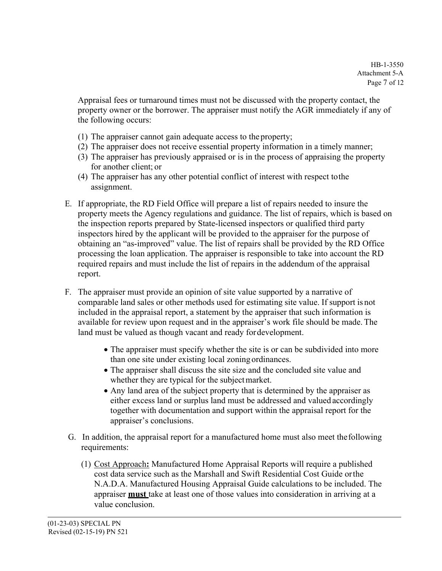Appraisal fees or turnaround times must not be discussed with the property contact, the property owner or the borrower. The appraiser must notify the AGR immediately if any of the following occurs:

- (1) The appraiser cannot gain adequate access to the property;
- (2) The appraiser does not receive essential property information in a timely manner;
- (3) The appraiser has previously appraised or is in the process of appraising the property for another client; or
- (4) The appraiser has any other potential conflict of interest with respect tothe assignment.
- E. If appropriate, the RD Field Office will prepare a list of repairs needed to insure the property meets the Agency regulations and guidance. The list of repairs, which is based on the inspection reports prepared by State-licensed inspectors or qualified third party inspectors hired by the applicant will be provided to the appraiser for the purpose of obtaining an "as-improved" value. The list of repairs shall be provided by the RD Office processing the loan application. The appraiser is responsible to take into account the RD required repairs and must include the list of repairs in the addendum of the appraisal report.
- F. The appraiser must provide an opinion of site value supported by a narrative of comparable land sales or other methods used for estimating site value. If support is not included in the appraisal report, a statement by the appraiser that such information is available for review upon request and in the appraiser's work file should be made. The land must be valued as though vacant and ready for development.
	- The appraiser must specify whether the site is or can be subdivided into more than one site under existing local zoning ordinances.
	- The appraiser shall discuss the site size and the concluded site value and whether they are typical for the subjectmarket.
	- Any land area of the subject property that is determined by the appraiser as either excess land or surplus land must be addressed and valued accordingly together with documentation and support within the appraisal report for the appraiser's conclusions.
- G. In addition, the appraisal report for a manufactured home must also meet the following requirements:
	- (1) Cost Approach**:** Manufactured Home Appraisal Reports will require a published cost data service such as the Marshall and Swift Residential Cost Guide orthe N.A.D.A. Manufactured Housing Appraisal Guide calculations to be included. The appraiser **must** take at least one of those values into consideration in arriving at a value conclusion.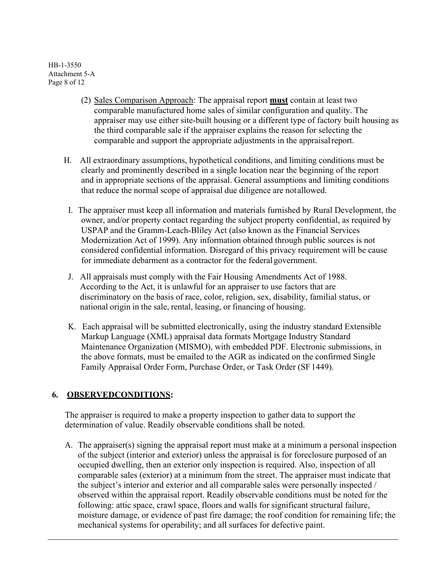HB-1-3550 Attachment 5-A Page 8 of 12

- (2) Sales Comparison Approach: The appraisal report **must** contain at least two comparable manufactured home sales of similar configuration and quality. The appraiser may use either site-built housing or a different type of factory built housing as the third comparable sale if the appraiser explains the reason for selecting the comparable and support the appropriate adjustments in the appraisal report.
- H. All extraordinary assumptions, hypothetical conditions, and limiting conditions must be clearly and prominently described in a single location near the beginning of the report and in appropriate sections of the appraisal. General assumptions and limiting conditions that reduce the normal scope of appraisal due diligence are not allowed.
- I. The appraiser must keep all information and materials furnished by Rural Development, the owner, and/or property contact regarding the subject property confidential, as required by USPAP and the Gramm-Leach-Bliley Act (also known as the Financial Services Modernization Act of 1999). Any information obtained through public sources is not considered confidential information. Disregard of this privacy requirement will be cause for immediate debarment as a contractor for the federal government.
- J. All appraisals must comply with the Fair Housing Amendments Act of 1988. According to the Act, it is unlawful for an appraiser to use factors that are discriminatory on the basis of race, color, religion, sex, disability, familial status, or national origin in the sale, rental, leasing, or financing of housing.
- K. Each appraisal will be submitted electronically, using the industry standard Extensible Markup Language (XML) appraisal data formats Mortgage Industry Standard Maintenance Organization (MISMO), with embedded PDF. Electronic submissions, in the above formats, must be emailed to the AGR as indicated on the confirmed Single Family Appraisal Order Form, Purchase Order, or Task Order (SF 1449).

# **6. OBSERVEDCONDITIONS:**

The appraiser is required to make a property inspection to gather data to support the determination of value. Readily observable conditions shall be noted.

A. The appraiser(s) signing the appraisal report must make at a minimum a personal inspection of the subject (interior and exterior) unless the appraisal is for foreclosure purposed of an occupied dwelling, then an exterior only inspection is required. Also, inspection of all comparable sales (exterior) at a minimum from the street. The appraiser must indicate that the subject's interior and exterior and all comparable sales were personally inspected / observed within the appraisal report. Readily observable conditions must be noted for the following: attic space, crawl space, floors and walls for significant structural failure, moisture damage, or evidence of past fire damage; the roof condition for remaining life; the mechanical systems for operability; and all surfaces for defective paint.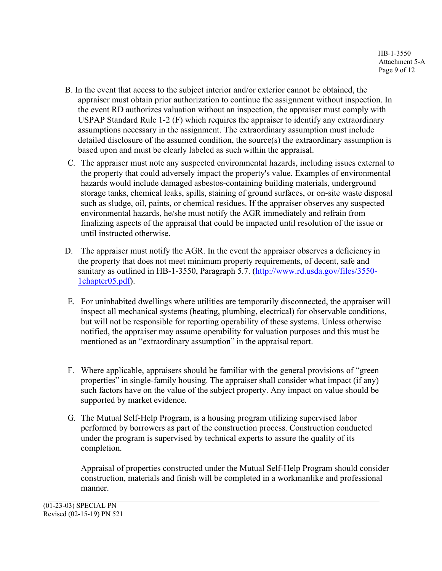- B. In the event that access to the subject interior and/or exterior cannot be obtained, the appraiser must obtain prior authorization to continue the assignment without inspection. In the event RD authorizes valuation without an inspection, the appraiser must comply with USPAP Standard Rule 1-2 (F) which requires the appraiser to identify any extraordinary assumptions necessary in the assignment. The extraordinary assumption must include detailed disclosure of the assumed condition, the source(s) the extraordinary assumption is based upon and must be clearly labeled as such within the appraisal.
- C. The appraiser must note any suspected environmental hazards, including issues external to the property that could adversely impact the property's value. Examples of environmental hazards would include damaged asbestos-containing building materials, underground storage tanks, chemical leaks, spills, staining of ground surfaces, or on-site waste disposal such as sludge, oil, paints, or chemical residues. If the appraiser observes any suspected environmental hazards, he/she must notify the AGR immediately and refrain from finalizing aspects of the appraisal that could be impacted until resolution of the issue or until instructed otherwise.
- D. The appraiser must notify the AGR. In the event the appraiser observes a deficiency in the property that does not meet minimum property requirements, of decent, safe and sanitary as outlined in HB-1-3550, Paragraph 5.7. [\(http://www.rd.usda.gov/files/3550-](http://www.rd.usda.gov/files/3550-1chapter05.pdf) [1chapter05.pdf\)](http://www.rd.usda.gov/files/3550-1chapter05.pdf).
- E. For uninhabited dwellings where utilities are temporarily disconnected, the appraiser will inspect all mechanical systems (heating, plumbing, electrical) for observable conditions, but will not be responsible for reporting operability of these systems. Unless otherwise notified, the appraiser may assume operability for valuation purposes and this must be mentioned as an "extraordinary assumption" in the appraisal report.
- F. Where applicable, appraisers should be familiar with the general provisions of "green properties" in single-family housing. The appraiser shall consider what impact (if any) such factors have on the value of the subject property. Any impact on value should be supported by market evidence.
- G. The Mutual Self-Help Program, is a housing program utilizing supervised labor performed by borrowers as part of the construction process. Construction conducted under the program is supervised by technical experts to assure the quality of its completion.

Appraisal of properties constructed under the Mutual Self-Help Program should consider construction, materials and finish will be completed in a workmanlike and professional manner.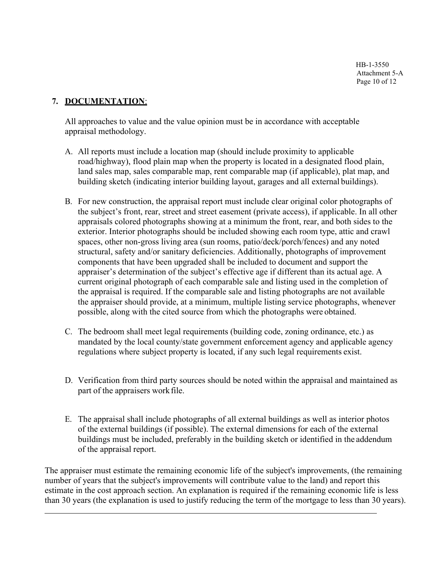HB-1-3550 Attachment 5-A Page 10 of 12

#### **7. DOCUMENTATION**:

All approaches to value and the value opinion must be in accordance with acceptable appraisal methodology.

- A. All reports must include a location map (should include proximity to applicable road/highway), flood plain map when the property is located in a designated flood plain, land sales map, sales comparable map, rent comparable map (if applicable), plat map, and building sketch (indicating interior building layout, garages and all external buildings).
- B. For new construction, the appraisal report must include clear original color photographs of the subject's front, rear, street and street easement (private access), if applicable. In all other appraisals colored photographs showing at a minimum the front, rear, and both sides to the exterior. Interior photographs should be included showing each room type, attic and crawl spaces, other non-gross living area (sun rooms, patio/deck/porch/fences) and any noted structural, safety and/or sanitary deficiencies. Additionally, photographs of improvement components that have been upgraded shall be included to document and support the appraiser's determination of the subject's effective age if different than its actual age. A current original photograph of each comparable sale and listing used in the completion of the appraisal is required. If the comparable sale and listing photographs are not available the appraiser should provide, at a minimum, multiple listing service photographs, whenever possible, along with the cited source from which the photographs were obtained.
- C. The bedroom shall meet legal requirements (building code, zoning ordinance, etc.) as mandated by the local county/state government enforcement agency and applicable agency regulations where subject property is located, if any such legal requirements exist.
- D. Verification from third party sources should be noted within the appraisal and maintained as part of the appraisers workfile.
- E. The appraisal shall include photographs of all external buildings as well as interior photos of the external buildings (if possible). The external dimensions for each of the external buildings must be included, preferably in the building sketch or identified in the addendum of the appraisal report.

The appraiser must estimate the remaining economic life of the subject's improvements, (the remaining number of years that the subject's improvements will contribute value to the land) and report this estimate in the cost approach section. An explanation is required if the remaining economic life is less than 30 years (the explanation is used to justify reducing the term of the mortgage to less than 30 years).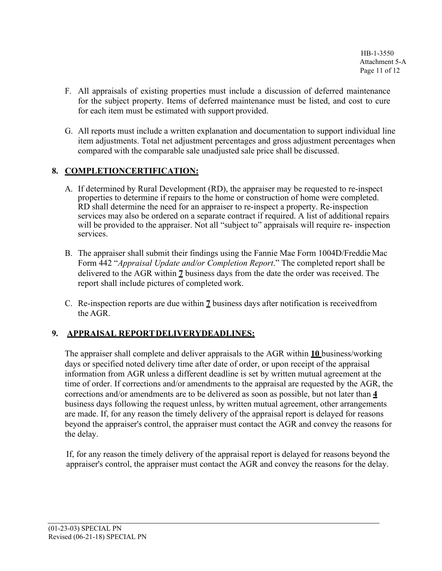- F. All appraisals of existing properties must include a discussion of deferred maintenance for the subject property. Items of deferred maintenance must be listed, and cost to cure for each item must be estimated with support provided.
- G. All reports must include a written explanation and documentation to support individual line item adjustments. Total net adjustment percentages and gross adjustment percentages when compared with the comparable sale unadjusted sale price shall be discussed.

# **8. COMPLETIONCERTIFICATION:**

- A. If determined by Rural Development (RD), the appraiser may be requested to re-inspect properties to determine if repairs to the home or construction of home were completed. RD shall determine the need for an appraiser to re-inspect a property. Re-inspection services may also be ordered on a separate contract if required. A list of additional repairs will be provided to the appraiser. Not all "subject to" appraisals will require re- inspection services.
- B. The appraiser shall submit their findings using the Fannie Mae Form 1004D/Freddie Mac Form 442 "*Appraisal Update and/or Completion Report*." The completed report shall be delivered to the AGR within **7** business days from the date the order was received. The report shall include pictures of completed work.
- C. Re-inspection reports are due within **7** business days after notification is receivedfrom the AGR.

# **9. APPRAISAL REPORTDELIVERYDEADLINES:**

The appraiser shall complete and deliver appraisals to the AGR within **10** business/working days or specified noted delivery time after date of order, or upon receipt of the appraisal information from AGR unless a different deadline is set by written mutual agreement at the time of order. If corrections and/or amendments to the appraisal are requested by the AGR, the corrections and/or amendments are to be delivered as soon as possible, but not later than **4**  business days following the request unless, by written mutual agreement, other arrangements are made. If, for any reason the timely delivery of the appraisal report is delayed for reasons beyond the appraiser's control, the appraiser must contact the AGR and convey the reasons for the delay.

If, for any reason the timely delivery of the appraisal report is delayed for reasons beyond the appraiser's control, the appraiser must contact the AGR and convey the reasons for the delay.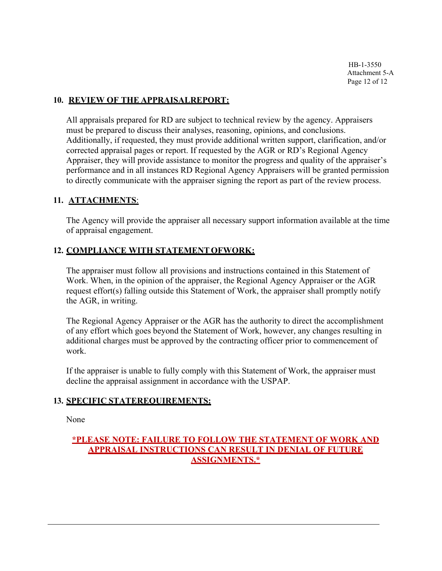#### **10. REVIEW OF THE APPRAISALREPORT:**

All appraisals prepared for RD are subject to technical review by the agency. Appraisers must be prepared to discuss their analyses, reasoning, opinions, and conclusions. Additionally, if requested, they must provide additional written support, clarification, and/or corrected appraisal pages or report. If requested by the AGR or RD's Regional Agency Appraiser, they will provide assistance to monitor the progress and quality of the appraiser's performance and in all instances RD Regional Agency Appraisers will be granted permission to directly communicate with the appraiser signing the report as part of the review process.

#### **11. ATTACHMENTS**:

The Agency will provide the appraiser all necessary support information available at the time of appraisal engagement.

### **12. COMPLIANCE WITH STATEMENTOFWORK:**

The appraiser must follow all provisions and instructions contained in this Statement of Work. When, in the opinion of the appraiser, the Regional Agency Appraiser or the AGR request effort(s) falling outside this Statement of Work, the appraiser shall promptly notify the AGR, in writing.

The Regional Agency Appraiser or the AGR has the authority to direct the accomplishment of any effort which goes beyond the Statement of Work, however, any changes resulting in additional charges must be approved by the contracting officer prior to commencement of work.

If the appraiser is unable to fully comply with this Statement of Work, the appraiser must decline the appraisal assignment in accordance with the USPAP.

### **13. SPECIFIC STATEREQUIREMENTS:**

None

## **\*PLEASE NOTE: FAILURE TO FOLLOW THE STATEMENT OF WORK AND APPRAISAL INSTRUCTIONS CAN RESULT IN DENIAL OF FUTURE ASSIGNMENTS.\***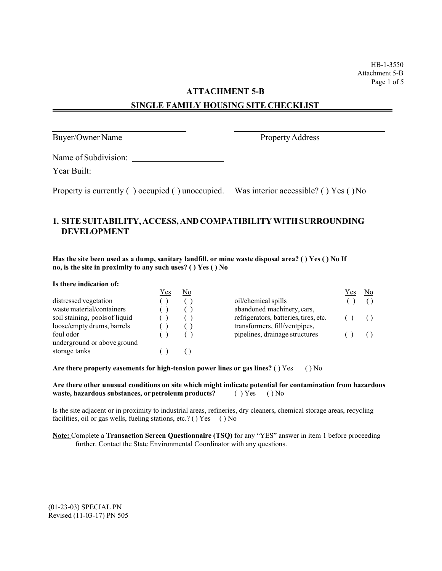HB-1-3550 Attachment 5-B Page 1 of 5

#### **ATTACHMENT 5-B**

#### **SINGLE FAMILY HOUSING SITE CHECKLIST**

Buyer/Owner Name Property Address

Name of Subdivision:

Year Built: \_\_\_\_\_\_\_\_

Property is currently ( ) occupied ( ) unoccupied. Was interior accessible? ( ) Yes ( ) No

#### **1. SITESUITABILITY, ACCESS, ANDCOMPATIBILITY WITH SURROUNDING DEVELOPMENT**

**Has the site been used as a dump, sanitary landfill, or mine waste disposal area? ( ) Yes ( ) No If no, is the site in proximity to any such uses? ( ) Yes ( ) No**

**Is there indication of:**

|                                | Yes | No |                                       | Y es | No. |
|--------------------------------|-----|----|---------------------------------------|------|-----|
| distressed vegetation          |     |    | oil/chemical spills                   |      |     |
| waste material/containers      |     |    | abandoned machinery, cars,            |      |     |
| soil staining, pools of liquid |     |    | refrigerators, batteries, tires, etc. |      |     |
| loose/empty drums, barrels     |     |    | transformers, fill/ventpipes,         |      |     |
| foul odor                      |     |    | pipelines, drainage structures        |      |     |
| underground or above ground    |     |    |                                       |      |     |
| storage tanks                  |     |    |                                       |      |     |
|                                |     |    |                                       |      |     |

**Are there property easements for high-tension power lines or gas lines?** ( ) Yes ( ) No

| Are there other unusual conditions on site which might indicate potential for contamination from hazardous |                  |  |  |
|------------------------------------------------------------------------------------------------------------|------------------|--|--|
| waste, hazardous substances, or petroleum products?                                                        | $() Yes$ $() No$ |  |  |

Is the site adjacent or in proximity to industrial areas, refineries, dry cleaners, chemical storage areas, recycling facilities, oil or gas wells, fueling stations, etc.? () Yes () No

**Note:** Complete a **Transaction Screen Questionnaire (TSQ)** for any "YES" answer in item 1 before proceeding further. Contact the State Environmental Coordinator with any questions.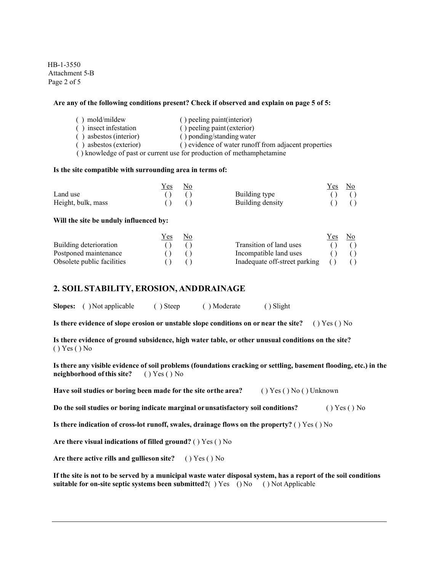HB-1-3550 Attachment 5-B Page 2 of 5

#### **Are any of the following conditions present? Check if observed and explain on page 5 of 5:**

( ) mold/mildew ( ) peeling paint(interior) ( ) insect infestation ( ) peeling paint(exterior) ( ) asbestos (interior) ( ) ponding/standing water ( ) asbestos (exterior) ( ) evidence of water runoff from adjacent properties ( ) knowledge of past or current use for production of methamphetamine

#### **Is the site compatible with surrounding area in terms of:**

|                    | Yes | No. |                  | Yes. | No. |
|--------------------|-----|-----|------------------|------|-----|
| Land use           |     |     | Building type    |      |     |
| Height, bulk, mass |     |     | Building density |      |     |

#### **Will the site be unduly influenced by:**

|                            | r es | NΟ |                               | Y es | Nο |
|----------------------------|------|----|-------------------------------|------|----|
| Building deterioration     |      |    | Transition of land uses       |      |    |
| Postponed maintenance      |      |    | Incompatible land uses        |      |    |
| Obsolete public facilities |      |    | Inadequate off-street parking |      |    |

#### **2. SOIL STABILITY, EROSION, ANDDRAINAGE**

**Slopes:** ( ) Not applicable ( ) Steep ( ) Moderate ( ) Slight

**Is there evidence of slope erosion or unstable slope conditions on or near the site?** ( ) Yes ( ) No

**Is there evidence of ground subsidence, high water table, or other unusual conditions on the site?** ( ) Yes ( ) No

Is there any visible evidence of soil problems (foundations cracking or settling, basement flooding, etc.) in the **neighborhood ofthis site?** ( ) Yes ( ) No

**Have soil studies or boring been made for the site orthe area?** ( ) Yes ( ) No ( ) Unknown

**Do the soil studies or boring indicate marginal orunsatisfactory soil conditions?** ( ) Yes ( ) No

**Is there indication of cross-lot runoff, swales, drainage flows on the property?** ( ) Yes ( ) No

**Are there visual indications of filled ground?** ( ) Yes ( ) No

**Are there active rills and gullieson site?** ( ) Yes ( ) No

**If the site is not to be served by a municipal waste water disposal system, has a report of the soil conditions suitable for on-site septic systems been submitted?**( ) Yes ( ) No ( ) Not Applicable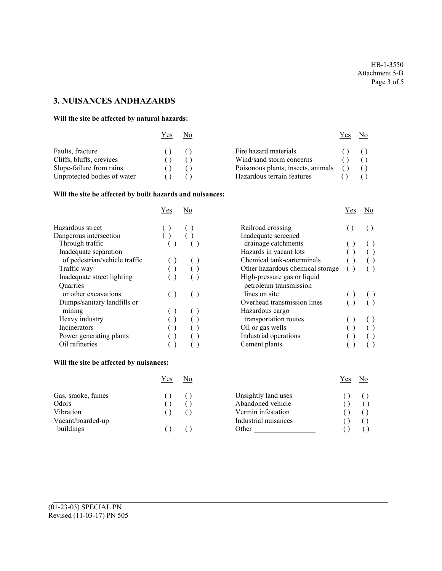HB-1-3550 Attachment 5-B Page 3 of 5

# **3. NUISANCES ANDHAZARDS**

#### **Will the site be affected by natural hazards:**

| Y es                                                                                                    | No |                                                                                                                       | Y es | N0. |
|---------------------------------------------------------------------------------------------------------|----|-----------------------------------------------------------------------------------------------------------------------|------|-----|
| Faults, fracture<br>Cliffs, bluffs, crevices<br>Slope-failure from rains<br>Unprotected bodies of water |    | Fire hazard materials<br>Wind/sand storm concerns<br>Poisonous plants, insects, animals<br>Hazardous terrain features |      |     |

#### **Will the site be affected by built hazards and nuisances:**

|                               | Yes | No |                                  | Yes | No |
|-------------------------------|-----|----|----------------------------------|-----|----|
| Hazardous street              |     |    | Railroad crossing                |     |    |
| Dangerous intersection        |     |    | Inadequate screened              |     |    |
| Through traffic               |     |    | drainage catchments              |     |    |
| Inadequate separation         |     |    | Hazards in vacant lots           |     |    |
| of pedestrian/vehicle traffic |     |    | Chemical tank-carterminals       |     |    |
| Traffic way                   |     |    | Other hazardous chemical storage |     |    |
| Inadequate street lighting    |     |    | High-pressure gas or liquid      |     |    |
| <b>Quarries</b>               |     |    | petroleum transmission           |     |    |
| or other excavations          |     |    | lines on site                    |     |    |
| Dumps/sanitary landfills or   |     |    | Overhead transmission lines      |     |    |
| mining                        |     |    | Hazardous cargo                  |     |    |
| Heavy industry                |     |    | transportation routes            |     |    |
| Incinerators                  |     |    | Oil or gas wells                 |     |    |
| Power generating plants       |     |    | Industrial operations            |     |    |
| Oil refineries                |     |    | Cement plants                    |     |    |
|                               |     |    |                                  |     |    |

|  |  |  |  |  |  | Will the site be affected by nuisances: |
|--|--|--|--|--|--|-----------------------------------------|
|--|--|--|--|--|--|-----------------------------------------|

| Yes               | No |                      | Yes | No |
|-------------------|----|----------------------|-----|----|
| Gas, smoke, fumes |    | Unsightly land uses  |     |    |
| Odors             |    | Abandoned vehicle    |     |    |
| Vibration         |    | Vermin infestation   |     |    |
| Vacant/boarded-up |    | Industrial nuisances |     |    |
| buildings         |    | Other                |     |    |

|                                  | r es | ΙNΟ       |
|----------------------------------|------|-----------|
| Railroad crossing                |      |           |
| Inadequate screened              |      |           |
| drainage catchments              |      |           |
| Hazards in vacant lots           |      |           |
| Chemical tank-carterminals       |      | $\hat{O}$ |
| Other hazardous chemical storage |      |           |
| High-pressure gas or liquid      |      |           |
| petroleum transmission           |      |           |
| lines on site                    |      |           |
| Overhead transmission lines      |      |           |
| Hazardous cargo                  |      |           |
| transportation routes            |      |           |
| Oil or gas wells                 |      |           |
| Industrial operations            |      |           |
| Cement plants                    |      |           |

| Yes              | No |                      | Yes |  |
|------------------|----|----------------------|-----|--|
| $\left( \right)$ |    | Unsightly land uses  |     |  |
|                  |    | Abandoned vehicle    |     |  |
|                  |    | Vermin infestation   |     |  |
|                  |    | Industrial nuisances |     |  |
|                  |    | Other                |     |  |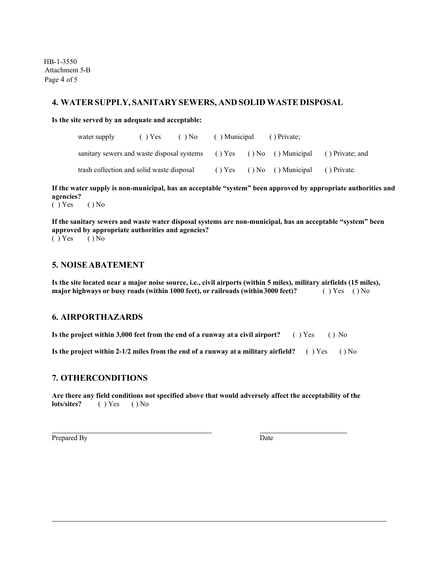HB-1-3550 Attachment 5-B Page 4 of 5

#### **4. WATER SUPPLY, SANITARY SEWERS, AND SOLID WASTE DISPOSAL**

**Is the site served by an adequate and acceptable:**

| water supply                                                                         | $( )$ Yes | $(N_0$ |  | () Municipal () Private;                          |  |  |
|--------------------------------------------------------------------------------------|-----------|--------|--|---------------------------------------------------|--|--|
| sanitary sewers and waste disposal systems () Yes () No () Municipal () Private; and |           |        |  |                                                   |  |  |
| trash collection and solid waste disposal                                            |           |        |  | $( )$ Yes $( )$ No $( )$ Municipal $( )$ Private. |  |  |

**If the water supply is non-municipal, has an acceptable "system" been approved by appropriate authorities and agencies?**

 $( )$  Yes  $( )$  No

**If the sanitary sewers and waste water disposal systems are non-municipal, has an acceptable "system" been approved by appropriate authorities and agencies?**

 $( )$  Yes  $( )$  No

#### **5. NOISEABATEMENT**

**Is the site located near a major noise source, i.e., civil airports (within 5 miles), military airfields (15 miles), major highways or busy roads (within 1000 feet), or railroads (within3000 feet)?** ( ) Yes ( ) No

#### **6. AIRPORTHAZARDS**

**Is the project within 3,000 feet from the end of a runway at a civil airport?** ( ) Yes ( ) No

**Is the project within 2-1/2 miles from the end of a runway at a military airfield?** ( ) Yes ( ) No

#### **7. OTHERCONDITIONS**

**Are there any field conditions not specified above that would adversely affect the acceptability of the lots/sites?** ( ) Yes ( ) No

Prepared By Date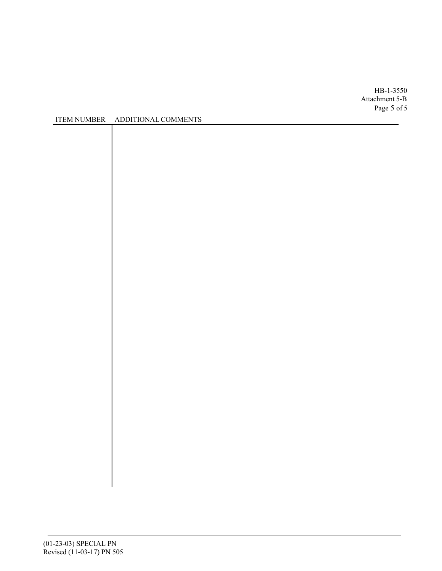HB-1-3550 Attachment 5-B Page 5 of 5

#### ITEM NUMBER ADDITIONAL COMMENTS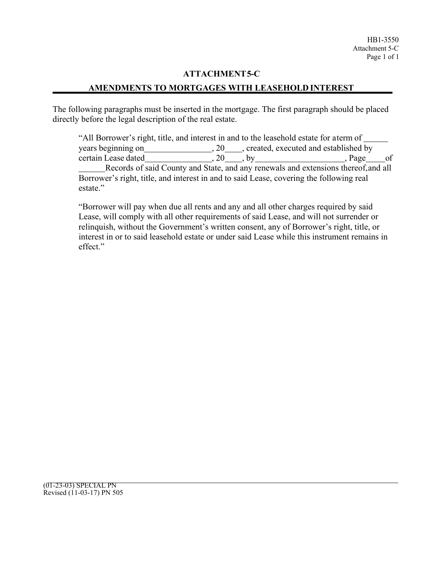#### **ATTACHMENT 5-C**

#### **AMENDMENTS TO MORTGAGES WITH LEASEHOLD INTEREST**

The following paragraphs must be inserted in the mortgage. The first paragraph should be placed directly before the legal description of the real estate.

"All Borrower's right, title, and interest in and to the leasehold estate for aterm of years beginning on , 20 , created, executed and established by  $certain$  Lease dated  $\qquad \qquad 20 \qquad \qquad$ , by  $\qquad \qquad 20 \qquad \qquad$ , Page of Records of said County and State, and any renewals and extensions thereof, and all Borrower's right, title, and interest in and to said Lease, covering the following real estate."

"Borrower will pay when due all rents and any and all other charges required by said Lease, will comply with all other requirements of said Lease, and will not surrender or relinquish, without the Government's written consent, any of Borrower's right, title, or interest in or to said leasehold estate or under said Lease while this instrument remains in effect."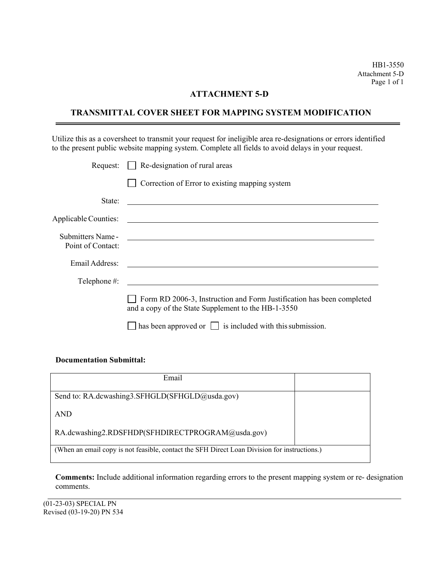HB1-3550 Attachment 5-D Page 1 of 1

#### **ATTACHMENT 5-D**

#### **TRANSMITTAL COVER SHEET FOR MAPPING SYSTEM MODIFICATION**

Utilize this as a coversheet to transmit your request for ineligible area re-designations or errors identified to the present public website mapping system. Complete all fields to avoid delays in your request.

| Request:          | $\Box$ Re-designation of rural areas                                                                                         |
|-------------------|------------------------------------------------------------------------------------------------------------------------------|
|                   | Correction of Error to existing mapping system                                                                               |
| State:            | <u> 1989 - Johann Barbara, marka a shekara tsa 1989 - An tsa 1989 - An tsa 1989 - An tsa 1989 - An tsa 1989 - An</u>         |
|                   |                                                                                                                              |
| Point of Contact: | Submitters Name - <u>Communications</u>                                                                                      |
| Email Address:    |                                                                                                                              |
| Telephone #:      |                                                                                                                              |
|                   | Form RD 2006-3, Instruction and Form Justification has been completed<br>and a copy of the State Supplement to the HB-1-3550 |
|                   | has been approved or $\vert \vert$ is included with this submission.                                                         |

#### **Documentation Submittal:**

| Email                                                                                        |  |  |
|----------------------------------------------------------------------------------------------|--|--|
| Send to: RA.dcwashing3.SFHGLD(SFHGLD@usda.gov)                                               |  |  |
| <b>AND</b>                                                                                   |  |  |
| RA.dcwashing2.RDSFHDP(SFHDIRECTPROGRAM@usda.gov)                                             |  |  |
| (When an email copy is not feasible, contact the SFH Direct Loan Division for instructions.) |  |  |

**Comments:** Include additional information regarding errors to the present mapping system or re- designation comments.

(01-23-03) SPECIAL PN Revised (03-19-20) PN 534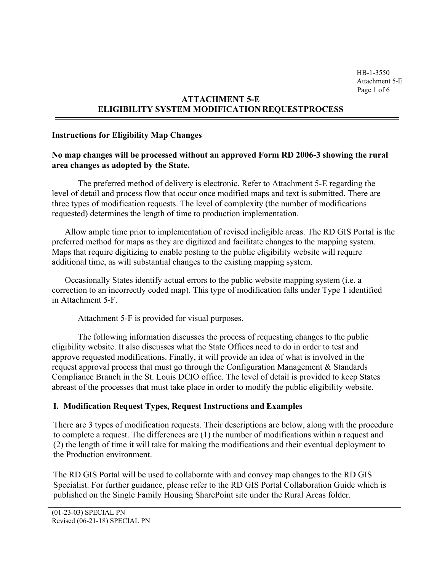# **ATTACHMENT 5-E ELIGIBILITY SYSTEM MODIFICATION REQUESTPROCESS**

#### **Instructions for Eligibility Map Changes**

#### **No map changes will be processed without an approved Form RD 2006-3 showing the rural area changes as adopted by the State.**

The preferred method of delivery is electronic. Refer to Attachment 5-E regarding the level of detail and process flow that occur once modified maps and text is submitted. There are three types of modification requests. The level of complexity (the number of modifications requested) determines the length of time to production implementation.

Allow ample time prior to implementation of revised ineligible areas. The RD GIS Portal is the preferred method for maps as they are digitized and facilitate changes to the mapping system. Maps that require digitizing to enable posting to the public eligibility website will require additional time, as will substantial changes to the existing mapping system.

Occasionally States identify actual errors to the public website mapping system (i.e. a correction to an incorrectly coded map). This type of modification falls under Type 1 identified in Attachment 5-F.

Attachment 5-F is provided for visual purposes.

The following information discusses the process of requesting changes to the public eligibility website. It also discusses what the State Offices need to do in order to test and approve requested modifications. Finally, it will provide an idea of what is involved in the request approval process that must go through the Configuration Management & Standards Compliance Branch in the St. Louis DCIO office. The level of detail is provided to keep States abreast of the processes that must take place in order to modify the public eligibility website.

#### **I. Modification Request Types, Request Instructions and Examples**

There are 3 types of modification requests. Their descriptions are below, along with the procedure to complete a request. The differences are (1) the number of modifications within a request and (2) the length of time it will take for making the modifications and their eventual deployment to the Production environment.

The RD GIS Portal will be used to collaborate with and convey map changes to the RD GIS Specialist. For further guidance, please refer to the RD GIS Portal Collaboration Guide which is published on the Single Family Housing SharePoint site under the Rural Areas folder.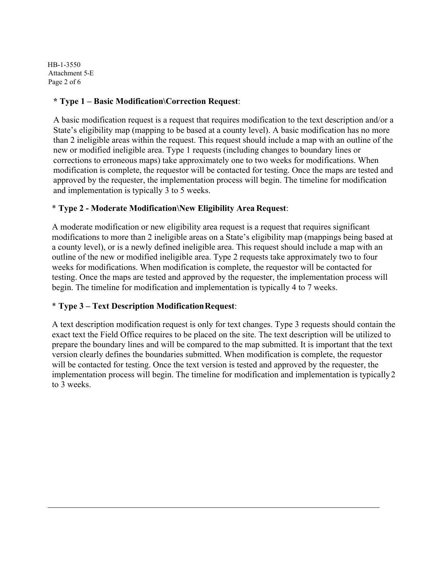HB-1-3550 Attachment 5-E Page 2 of 6

### **\* Type 1 – Basic Modification\Correction Request**:

A basic modification request is a request that requires modification to the text description and/or a State's eligibility map (mapping to be based at a county level). A basic modification has no more than 2 ineligible areas within the request. This request should include a map with an outline of the new or modified ineligible area. Type 1 requests (including changes to boundary lines or corrections to erroneous maps) take approximately one to two weeks for modifications. When modification is complete, the requestor will be contacted for testing. Once the maps are tested and approved by the requester, the implementation process will begin. The timeline for modification and implementation is typically 3 to 5 weeks.

#### \* **Type 2 - Moderate Modification\New Eligibility Area Request**:

A moderate modification or new eligibility area request is a request that requires significant modifications to more than 2 ineligible areas on a State's eligibility map (mappings being based at a county level), or is a newly defined ineligible area. This request should include a map with an outline of the new or modified ineligible area. Type 2 requests take approximately two to four weeks for modifications. When modification is complete, the requestor will be contacted for testing. Once the maps are tested and approved by the requester, the implementation process will begin. The timeline for modification and implementation is typically 4 to 7 weeks.

### \* **Type 3 – Text Description ModificationRequest**:

A text description modification request is only for text changes. Type 3 requests should contain the exact text the Field Office requires to be placed on the site. The text description will be utilized to prepare the boundary lines and will be compared to the map submitted. It is important that the text version clearly defines the boundaries submitted. When modification is complete, the requestor will be contacted for testing. Once the text version is tested and approved by the requester, the implementation process will begin. The timeline for modification and implementation is typically 2 to 3 weeks.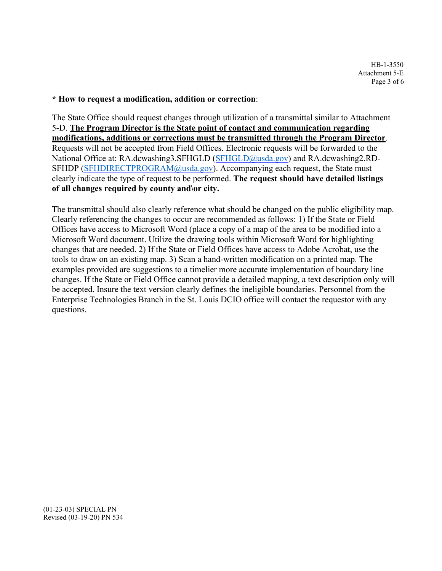#### **\* How to request a modification, addition or correction**:

The State Office should request changes through utilization of a transmittal similar to Attachment 5-D. **The Program Director is the State point of contact and communication regarding modifications, additions or corrections must be transmitted through the Program Director**. Requests will not be accepted from Field Offices. Electronic requests will be forwarded to the National Office at: RA.dcwashing3.SFHGLD (SFHGLD@usda.gov) and RA.dcwashing2.RD-SFHDP (SFHDIRECTPROGRAM@usda.gov). Accompanying each request, the State must clearly indicate the type of request to be performed. **The request should have detailed listings of all changes required by county and\or city.**

The transmittal should also clearly reference what should be changed on the public eligibility map. Clearly referencing the changes to occur are recommended as follows: 1) If the State or Field Offices have access to Microsoft Word (place a copy of a map of the area to be modified into a Microsoft Word document. Utilize the drawing tools within Microsoft Word for highlighting changes that are needed. 2) If the State or Field Offices have access to Adobe Acrobat, use the tools to draw on an existing map. 3) Scan a hand-written modification on a printed map. The examples provided are suggestions to a timelier more accurate implementation of boundary line changes. If the State or Field Office cannot provide a detailed mapping, a text description only will be accepted. Insure the text version clearly defines the ineligible boundaries. Personnel from the Enterprise Technologies Branch in the St. Louis DCIO office will contact the requestor with any questions.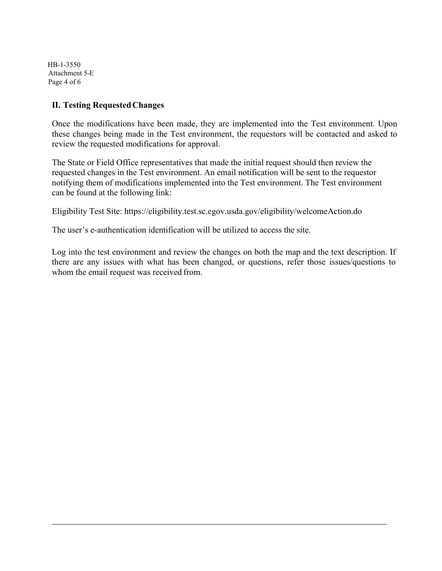HB-1-3550 Attachment 5-E Page 4 of 6

#### **II. Testing RequestedChanges**

Once the modifications have been made, they are implemented into the Test environment. Upon these changes being made in the Test environment, the requestors will be contacted and asked to review the requested modifications for approval.

The State or Field Office representatives that made the initial request should then review the requested changes in the Test environment. An email notification will be sent to the requestor notifying them of modifications implemented into the Test environment. The Test environment can be found at the following link:

Eligibility Test Site: https://eligibility.test.sc.egov.usda.gov/eligibility/welcomeAction.do

The user's e-authentication identification will be utilized to access the site.

Log into the test environment and review the changes on both the map and the text description. If there are any issues with what has been changed, or questions, refer those issues/questions to whom the email request was received from.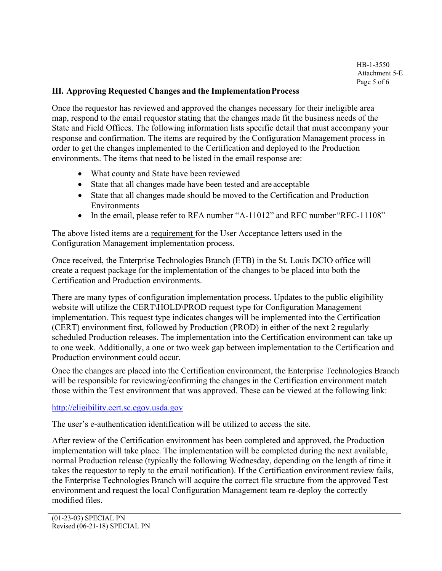#### **III. Approving Requested Changes and the ImplementationProcess**

Once the requestor has reviewed and approved the changes necessary for their ineligible area map, respond to the email requestor stating that the changes made fit the business needs of the State and Field Offices. The following information lists specific detail that must accompany your response and confirmation. The items are required by the Configuration Management process in order to get the changes implemented to the Certification and deployed to the Production environments. The items that need to be listed in the email response are:

- What county and State have been reviewed
- State that all changes made have been tested and are acceptable
- State that all changes made should be moved to the Certification and Production Environments
- In the email, please refer to RFA number "A-11012" and RFC number "RFC-11108"

The above listed items are a requirement for the User Acceptance letters used in the Configuration Management implementation process.

Once received, the Enterprise Technologies Branch (ETB) in the St. Louis DCIO office will create a request package for the implementation of the changes to be placed into both the Certification and Production environments.

There are many types of configuration implementation process. Updates to the public eligibility website will utilize the CERT\HOLD\PROD request type for Configuration Management implementation. This request type indicates changes will be implemented into the Certification (CERT) environment first, followed by Production (PROD) in either of the next 2 regularly scheduled Production releases. The implementation into the Certification environment can take up to one week. Additionally, a one or two week gap between implementation to the Certification and Production environment could occur.

Once the changes are placed into the Certification environment, the Enterprise Technologies Branch will be responsible for reviewing/confirming the changes in the Certification environment match those within the Test environment that was approved. These can be viewed at the following link:

#### [http://eligibility.cert.sc.egov.usda.gov](http://eligibility.cert.sc.egov.usda.gov/)

The user's e-authentication identification will be utilized to access the site.

After review of the Certification environment has been completed and approved, the Production implementation will take place. The implementation will be completed during the next available, normal Production release (typically the following Wednesday, depending on the length of time it takes the requestor to reply to the email notification). If the Certification environment review fails, the Enterprise Technologies Branch will acquire the correct file structure from the approved Test environment and request the local Configuration Management team re-deploy the correctly modified files.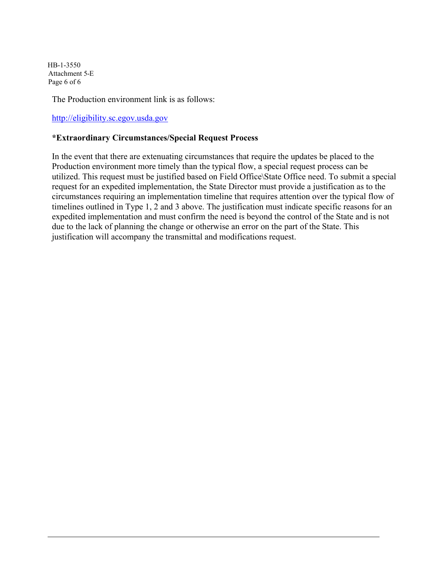HB-1-3550 Attachment 5-E Page 6 of 6

The Production environment link is as follows:

[http://eligibility.sc.egov.usda.gov](http://eligibility.sc.egov.usda.gov/)

#### **\*Extraordinary Circumstances/Special Request Process**

In the event that there are extenuating circumstances that require the updates be placed to the Production environment more timely than the typical flow, a special request process can be utilized. This request must be justified based on Field Office\State Office need. To submit a special request for an expedited implementation, the State Director must provide a justification as to the circumstances requiring an implementation timeline that requires attention over the typical flow of timelines outlined in Type 1, 2 and 3 above. The justification must indicate specific reasons for an expedited implementation and must confirm the need is beyond the control of the State and is not due to the lack of planning the change or otherwise an error on the part of the State. This justification will accompany the transmittal and modifications request.